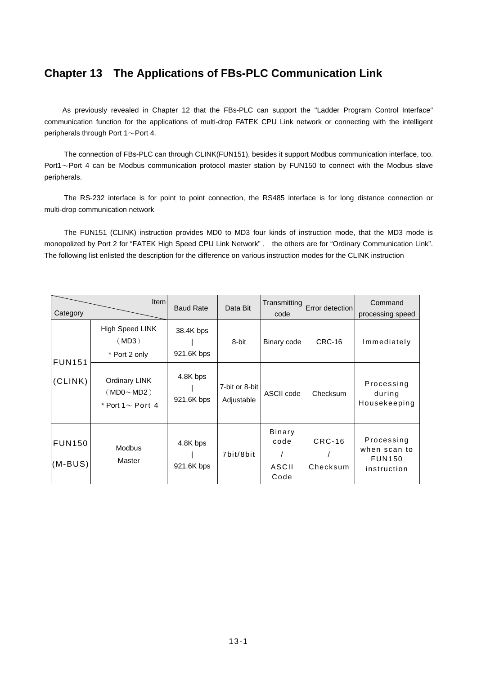## **Chapter 13 The Applications of FBs-PLC Communication Link**

 As previously revealed in Chapter 12 that the FBs-PLC can support the "Ladder Program Control Interface" communication function for the applications of multi-drop FATEK CPU Link network or connecting with the intelligent peripherals through Port 1~Port 4.

The connection of FBs-PLC can through CLINK(FUN151), besides it support Modbus communication interface, too. Port1~Port 4 can be Modbus communication protocol master station by FUN150 to connect with the Modbus slave peripherals.

The RS-232 interface is for point to point connection, the RS485 interface is for long distance connection or multi-drop communication network

The FUN151 (CLINK) instruction provides MD0 to MD3 four kinds of instruction mode, that the MD3 mode is monopolized by Port 2 for "FATEK High Speed CPU Link Network" , the others are for "Ordinary Communication Link". The following list enlisted the description for the difference on various instruction modes for the CLINK instruction

| Category                 | <b>Item</b>                                                 | <b>Baud Rate</b>        | Data Bit                     | Transmitting<br>code            | Error detection      | Command<br>processing speed                                |
|--------------------------|-------------------------------------------------------------|-------------------------|------------------------------|---------------------------------|----------------------|------------------------------------------------------------|
|                          | High Speed LINK<br>(MD3)<br>* Port 2 only                   | 38.4K bps<br>921.6K bps | 8-bit                        | Binary code                     | <b>CRC-16</b>        | Immediately                                                |
| <b>FUN151</b><br>(CLINK) | <b>Ordinary LINK</b><br>(MDO~MD2)<br>* Port 1 $\sim$ Port 4 | 4.8K bps<br>921.6K bps  | 7-bit or 8-bit<br>Adjustable | ASCII code                      | Checksum             | Processing<br>during<br>Housekeeping                       |
| <b>FUN150</b><br>(M-BUS) | <b>Modbus</b><br>Master                                     | 4.8K bps<br>921.6K bps  | 7bit/8bit                    | Binary<br>code<br>ASCII<br>Code | $CRC-16$<br>Checksum | Processing<br>when scan to<br><b>FUN150</b><br>instruction |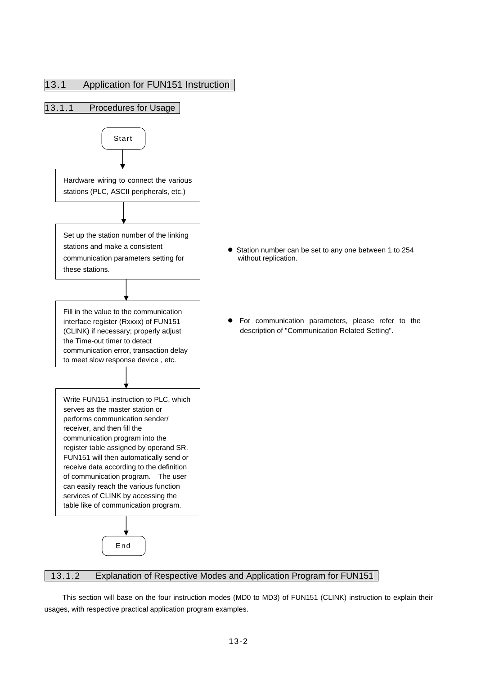



- Station number can be set to any one between 1 to 254 without replication.
- For communication parameters, please refer to the description of "Communication Related Setting".

## 13.1.2 Explanation of Respective Modes and Application Program for FUN151

 This section will base on the four instruction modes (MD0 to MD3) of FUN151 (CLINK) instruction to explain their usages, with respective practical application program examples.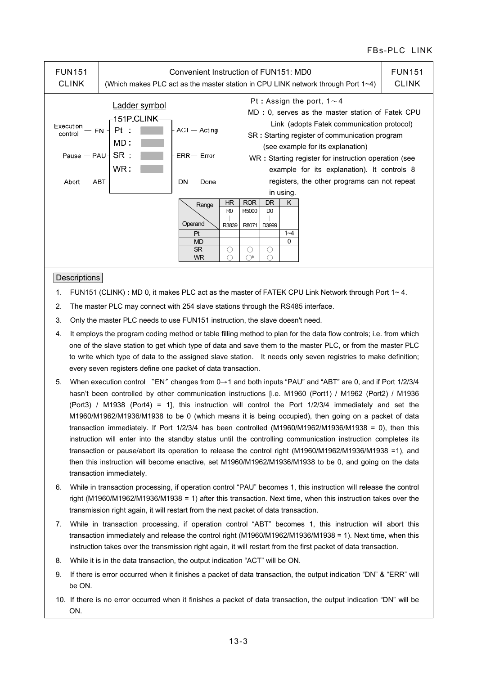| <b>FUN151</b><br><b>CLINK</b>                                              | Convenient Instruction of FUN151: MD0<br>(Which makes PLC act as the master station in CPU LINK network through Port $1\nu$ 4) |                                                               |                               |                                   |                                | <b>FUN151</b><br><b>CLINK</b> |                                                                                                                                                                                                                                                                                                                                                                                  |  |
|----------------------------------------------------------------------------|--------------------------------------------------------------------------------------------------------------------------------|---------------------------------------------------------------|-------------------------------|-----------------------------------|--------------------------------|-------------------------------|----------------------------------------------------------------------------------------------------------------------------------------------------------------------------------------------------------------------------------------------------------------------------------------------------------------------------------------------------------------------------------|--|
| Execution<br>control<br>Pause $-$ PAU $\overline{S}$ SR :<br>Abort $-$ ABT | Ladder symbol<br>–151P.CLINK–<br>Pt<br>EN -<br>MD:<br>WR :                                                                     | ACT — Acting<br>$ERR - Error$<br>$DN - Done$                  |                               |                                   |                                | in using.                     | Pt: Assign the port, $1 \sim 4$<br>MD : 0, serves as the master station of Fatek CPU<br>Link (adopts Fatek communication protocol)<br>SR: Starting register of communication program<br>(see example for its explanation)<br>WR: Starting register for instruction operation (see<br>example for its explanation). It controls 8<br>registers, the other programs can not repeat |  |
|                                                                            |                                                                                                                                | Range<br>Operand<br>Pt<br><b>MD</b><br><b>SR</b><br><b>WR</b> | HR<br>R <sub>0</sub><br>R3839 | <b>ROR</b><br>R5000<br>R8071<br>₩ | DR.<br>D <sub>0</sub><br>D3999 | K<br>$1 - 4$<br>0             |                                                                                                                                                                                                                                                                                                                                                                                  |  |

#### **Descriptions**

- 1. FUN151 (CLINK) **:** MD 0, it makes PLC act as the master of FATEK CPU Link Network through Port 1~ 4.
- 2. The master PLC may connect with 254 slave stations through the RS485 interface.
- 3. Only the master PLC needs to use FUN151 instruction, the slave doesn't need.
- 4. It employs the program coding method or table filling method to plan for the data flow controls; i.e. from which one of the slave station to get which type of data and save them to the master PLC, or from the master PLC to write which type of data to the assigned slave station. It needs only seven registries to make definition; every seven registers define one packet of data transaction.
- 5. When execution control 〝EN〞changes from 0→1 and both inputs "PAU" and "ABT" are 0, and if Port 1/2/3/4 hasn't been controlled by other communication instructions [i.e. M1960 (Port1) / M1962 (Port2) / M1936 (Port3) / M1938 (Port4) = 1], this instruction will control the Port 1/2/3/4 immediately and set the M1960/M1962/M1936/M1938 to be 0 (which means it is being occupied), then going on a packet of data transaction immediately. If Port 1/2/3/4 has been controlled (M1960/M1962/M1936/M1938 = 0), then this instruction will enter into the standby status until the controlling communication instruction completes its transaction or pause/abort its operation to release the control right (M1960/M1962/M1936/M1938 =1), and then this instruction will become enactive, set M1960/M1962/M1936/M1938 to be 0, and going on the data transaction immediately.
- 6. While in transaction processing, if operation control "PAU" becomes 1, this instruction will release the control right (M1960/M1962/M1936/M1938 = 1) after this transaction. Next time, when this instruction takes over the transmission right again, it will restart from the next packet of data transaction.
- 7. While in transaction processing, if operation control "ABT" becomes 1, this instruction will abort this transaction immediately and release the control right (M1960/M1962/M1936/M1938 = 1). Next time, when this instruction takes over the transmission right again, it will restart from the first packet of data transaction.
- 8. While it is in the data transaction, the output indication "ACT" will be ON.
- 9. If there is error occurred when it finishes a packet of data transaction, the output indication "DN" & "ERR" will be ON.
- 10. If there is no error occurred when it finishes a packet of data transaction, the output indication "DN" will be ON.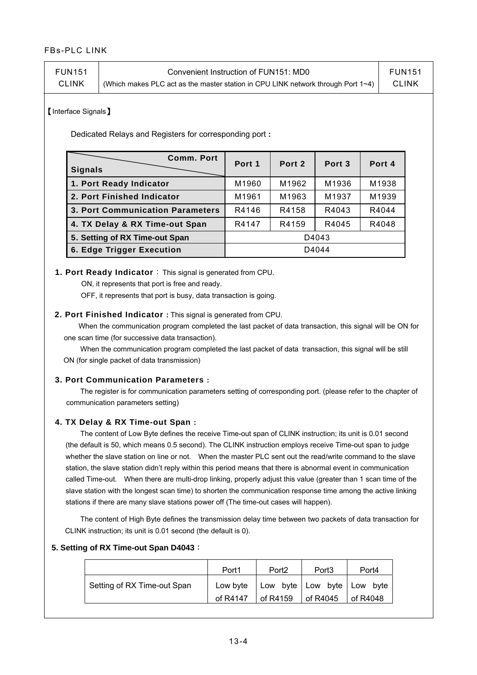| FUN151       | Convenient Instruction of FUN151: MD0                                                    | <b>FUN151</b> |
|--------------|------------------------------------------------------------------------------------------|---------------|
| <b>CLINK</b> | (Which makes PLC act as the master station in CPU LINK network through Port $1 \sim 4$ ) | CLINK         |

【Interface Signals】

Dedicated Relays and Registers for corresponding port **:** 

| <b>Comm. Port</b><br><b>Signals</b> | Port 1 | Port 2 | Port 3 | Port 4 |  |  |
|-------------------------------------|--------|--------|--------|--------|--|--|
| 1. Port Ready Indicator             | M1960  | M1962  | M1936  | M1938  |  |  |
| 2. Port Finished Indicator          | M1961  | M1963  | M1937  | M1939  |  |  |
| 3. Port Communication Parameters    | R4146  | R4158  | R4043  | R4044  |  |  |
| 4. TX Delay & RX Time-out Span      | R4147  | R4159  | R4045  | R4048  |  |  |
| 5. Setting of RX Time-out Span      |        | D4043  |        |        |  |  |
| <b>6. Edge Trigger Execution</b>    | D4044  |        |        |        |  |  |

#### **1. Port Ready Indicator**: This signal is generated from CPU.

ON, it represents that port is free and ready.

OFF, it represents that port is busy, data transaction is going.

#### **2. Port Finished Indicator :** This signal is generated from CPU.

When the communication program completed the last packet of data transaction, this signal will be ON for one scan time (for successive data transaction).

 When the communication program completed the last packet of data transaction, this signal will be still ON (for single packet of data transmission)

#### **3. Port Communication Parameters :**

 The register is for communication parameters setting of corresponding port. (please refer to the chapter of communication parameters setting)

#### **4. TX Delay & RX Time-out Span :**

 The content of Low Byte defines the receive Time-out span of CLINK instruction; its unit is 0.01 second (the default is 50, which means 0.5 second). The CLINK instruction employs receive Time-out span to judge whether the slave station on line or not. When the master PLC sent out the read/write command to the slave station, the slave station didn't reply within this period means that there is abnormal event in communication called Time-out. When there are multi-drop linking, properly adjust this value (greater than 1 scan time of the slave station with the longest scan time) to shorten the communication response time among the active linking stations if there are many slave stations power off (The time-out cases will happen).

 The content of High Byte defines the transmission delay time between two packets of data transaction for CLINK instruction; its unit is 0.01 second (the default is 0).

#### **5. Setting of RX Time-out Span D4043**:

|                             | Port <sub>1</sub> | Port <sub>2</sub>              | Port <sub>3</sub> | Port4    |
|-----------------------------|-------------------|--------------------------------|-------------------|----------|
| Setting of RX Time-out Span | Low byte          | Low byte   Low byte   Low byte |                   |          |
|                             | of R4147          | of R4159                       | of R4045          | of R4048 |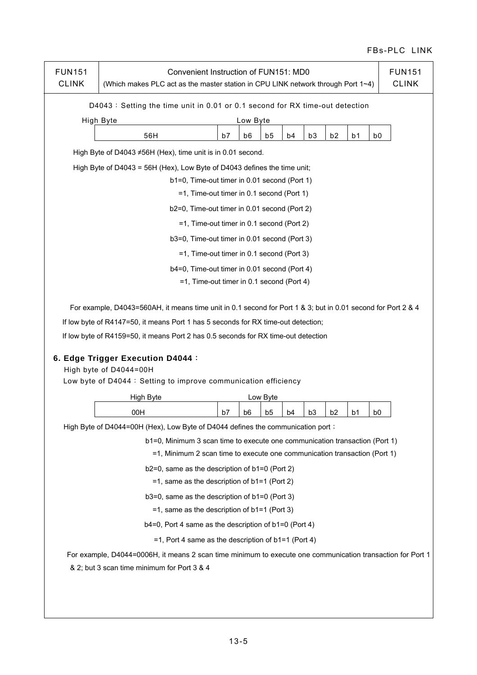| <b>FUN151</b><br><b>CLINK</b>                   | Convenient Instruction of FUN151: MD0<br><b>FUN151</b><br><b>CLINK</b><br>(Which makes PLC act as the master station in CPU LINK network through Port 1~4)                                                          |    |    |                |    |                |                |                |                |  |
|-------------------------------------------------|---------------------------------------------------------------------------------------------------------------------------------------------------------------------------------------------------------------------|----|----|----------------|----|----------------|----------------|----------------|----------------|--|
|                                                 | D4043: Setting the time unit in 0.01 or 0.1 second for RX time-out detection                                                                                                                                        |    |    |                |    |                |                |                |                |  |
|                                                 | High Byte<br>Low Byte                                                                                                                                                                                               |    |    |                |    |                |                |                |                |  |
|                                                 | 56H                                                                                                                                                                                                                 | b7 | b6 | b5             | b4 | b3             | b <sub>2</sub> | b <sub>1</sub> | b <sub>0</sub> |  |
|                                                 | High Byte of D4043 ≠56H (Hex), time unit is in 0.01 second.                                                                                                                                                         |    |    |                |    |                |                |                |                |  |
|                                                 | High Byte of D4043 = 56H (Hex), Low Byte of D4043 defines the time unit;                                                                                                                                            |    |    |                |    |                |                |                |                |  |
|                                                 | b1=0, Time-out timer in 0.01 second (Port 1)                                                                                                                                                                        |    |    |                |    |                |                |                |                |  |
|                                                 | =1, Time-out timer in 0.1 second (Port 1)                                                                                                                                                                           |    |    |                |    |                |                |                |                |  |
|                                                 | b2=0, Time-out timer in 0.01 second (Port 2)                                                                                                                                                                        |    |    |                |    |                |                |                |                |  |
|                                                 | =1, Time-out timer in 0.1 second (Port 2)                                                                                                                                                                           |    |    |                |    |                |                |                |                |  |
|                                                 | b3=0, Time-out timer in 0.01 second (Port 3)                                                                                                                                                                        |    |    |                |    |                |                |                |                |  |
|                                                 | =1, Time-out timer in 0.1 second (Port 3)                                                                                                                                                                           |    |    |                |    |                |                |                |                |  |
|                                                 | b4=0, Time-out timer in 0.01 second (Port 4)                                                                                                                                                                        |    |    |                |    |                |                |                |                |  |
|                                                 | =1, Time-out timer in 0.1 second (Port 4)                                                                                                                                                                           |    |    |                |    |                |                |                |                |  |
|                                                 | If low byte of R4159=50, it means Port 2 has 0.5 seconds for RX time-out detection<br>6. Edge Trigger Execution D4044 :<br>High byte of D4044=00H<br>Low byte of D4044: Setting to improve communication efficiency |    |    |                |    |                |                |                |                |  |
|                                                 | High Byte                                                                                                                                                                                                           |    |    | Low Byte       |    |                |                |                |                |  |
|                                                 | 00H                                                                                                                                                                                                                 | b7 | b6 | b <sub>5</sub> | b4 | b <sub>3</sub> | b <sub>2</sub> | b1             | b0             |  |
|                                                 | High Byte of D4044=00H (Hex), Low Byte of D4044 defines the communication port;                                                                                                                                     |    |    |                |    |                |                |                |                |  |
|                                                 | b1=0, Minimum 3 scan time to execute one communication transaction (Port 1)                                                                                                                                         |    |    |                |    |                |                |                |                |  |
|                                                 | =1, Minimum 2 scan time to execute one communication transaction (Port 1)                                                                                                                                           |    |    |                |    |                |                |                |                |  |
|                                                 | $b2=0$ , same as the description of $b1=0$ (Port 2)                                                                                                                                                                 |    |    |                |    |                |                |                |                |  |
|                                                 | $=1$ , same as the description of b1=1 (Port 2)                                                                                                                                                                     |    |    |                |    |                |                |                |                |  |
|                                                 | b3=0, same as the description of b1=0 (Port 3)                                                                                                                                                                      |    |    |                |    |                |                |                |                |  |
| $=1$ , same as the description of b1=1 (Port 3) |                                                                                                                                                                                                                     |    |    |                |    |                |                |                |                |  |
|                                                 | $b4=0$ , Port 4 same as the description of $b1=0$ (Port 4)                                                                                                                                                          |    |    |                |    |                |                |                |                |  |
|                                                 | $=1$ , Port 4 same as the description of b1=1 (Port 4)                                                                                                                                                              |    |    |                |    |                |                |                |                |  |
|                                                 | For example, D4044=0006H, it means 2 scan time minimum to execute one communication transaction for Port 1                                                                                                          |    |    |                |    |                |                |                |                |  |
|                                                 | & 2; but 3 scan time minimum for Port 3 & 4                                                                                                                                                                         |    |    |                |    |                |                |                |                |  |
|                                                 |                                                                                                                                                                                                                     |    |    |                |    |                |                |                |                |  |
|                                                 |                                                                                                                                                                                                                     |    |    |                |    |                |                |                |                |  |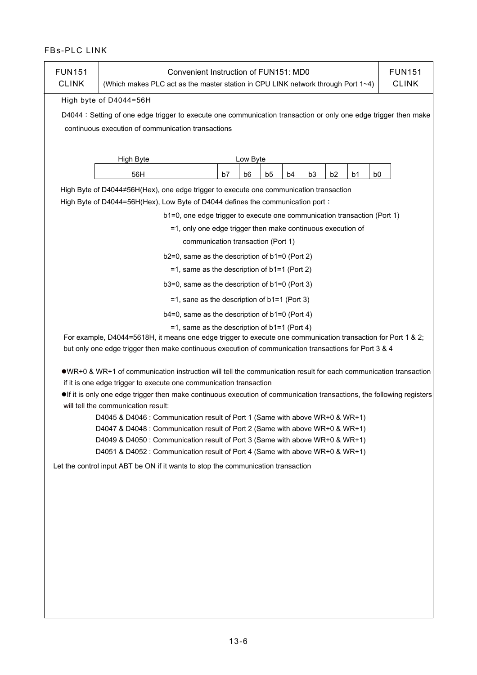| <b>FUN151</b><br><b>CLINK</b> | Convenient Instruction of FUN151: MD0<br><b>FUN151</b><br><b>CLINK</b><br>(Which makes PLC act as the master station in CPU LINK network through Port 1~4)                                                                                                                                                                                                                                                                                                                                                                                                                                                                                                                            |    |          |    |    |                |                |                |                |  |
|-------------------------------|---------------------------------------------------------------------------------------------------------------------------------------------------------------------------------------------------------------------------------------------------------------------------------------------------------------------------------------------------------------------------------------------------------------------------------------------------------------------------------------------------------------------------------------------------------------------------------------------------------------------------------------------------------------------------------------|----|----------|----|----|----------------|----------------|----------------|----------------|--|
|                               | High byte of D4044=56H                                                                                                                                                                                                                                                                                                                                                                                                                                                                                                                                                                                                                                                                |    |          |    |    |                |                |                |                |  |
|                               | D4044 : Setting of one edge trigger to execute one communication transaction or only one edge trigger then make                                                                                                                                                                                                                                                                                                                                                                                                                                                                                                                                                                       |    |          |    |    |                |                |                |                |  |
|                               | continuous execution of communication transactions                                                                                                                                                                                                                                                                                                                                                                                                                                                                                                                                                                                                                                    |    |          |    |    |                |                |                |                |  |
|                               | High Byte                                                                                                                                                                                                                                                                                                                                                                                                                                                                                                                                                                                                                                                                             |    | Low Byte |    |    |                |                |                |                |  |
|                               | 56H                                                                                                                                                                                                                                                                                                                                                                                                                                                                                                                                                                                                                                                                                   | b7 | b6       | b5 | b4 | b <sub>3</sub> | b <sub>2</sub> | b <sub>1</sub> | b <sub>0</sub> |  |
|                               | High Byte of D4044#56H(Hex), one edge trigger to execute one communication transaction                                                                                                                                                                                                                                                                                                                                                                                                                                                                                                                                                                                                |    |          |    |    |                |                |                |                |  |
|                               | High Byte of D4044=56H(Hex), Low Byte of D4044 defines the communication port;                                                                                                                                                                                                                                                                                                                                                                                                                                                                                                                                                                                                        |    |          |    |    |                |                |                |                |  |
|                               | b1=0, one edge trigger to execute one communication transaction (Port 1)                                                                                                                                                                                                                                                                                                                                                                                                                                                                                                                                                                                                              |    |          |    |    |                |                |                |                |  |
|                               | =1, only one edge trigger then make continuous execution of                                                                                                                                                                                                                                                                                                                                                                                                                                                                                                                                                                                                                           |    |          |    |    |                |                |                |                |  |
|                               | communication transaction (Port 1)                                                                                                                                                                                                                                                                                                                                                                                                                                                                                                                                                                                                                                                    |    |          |    |    |                |                |                |                |  |
|                               | b2=0, same as the description of b1=0 (Port 2)                                                                                                                                                                                                                                                                                                                                                                                                                                                                                                                                                                                                                                        |    |          |    |    |                |                |                |                |  |
|                               | $=1$ , same as the description of b1=1 (Port 2)                                                                                                                                                                                                                                                                                                                                                                                                                                                                                                                                                                                                                                       |    |          |    |    |                |                |                |                |  |
|                               | b3=0, same as the description of b1=0 (Port 3)                                                                                                                                                                                                                                                                                                                                                                                                                                                                                                                                                                                                                                        |    |          |    |    |                |                |                |                |  |
|                               | $=$ 1, sane as the description of b1=1 (Port 3)                                                                                                                                                                                                                                                                                                                                                                                                                                                                                                                                                                                                                                       |    |          |    |    |                |                |                |                |  |
|                               | $b4=0$ , same as the description of $b1=0$ (Port 4)                                                                                                                                                                                                                                                                                                                                                                                                                                                                                                                                                                                                                                   |    |          |    |    |                |                |                |                |  |
|                               | $=1$ , same as the description of b1=1 (Port 4)                                                                                                                                                                                                                                                                                                                                                                                                                                                                                                                                                                                                                                       |    |          |    |    |                |                |                |                |  |
|                               | For example, D4044=5618H, it means one edge trigger to execute one communication transaction for Port 1 & 2;<br>but only one edge trigger then make continuous execution of communication transactions for Port 3 & 4                                                                                                                                                                                                                                                                                                                                                                                                                                                                 |    |          |    |    |                |                |                |                |  |
|                               | ●WR+0 & WR+1 of communication instruction will tell the communication result for each communication transaction<br>if it is one edge trigger to execute one communication transaction<br>olf it is only one edge trigger then make continuous execution of communication transactions, the following registers<br>will tell the communication result:<br>D4045 & D4046 : Communication result of Port 1 (Same with above WR+0 & WR+1)<br>D4047 & D4048 : Communication result of Port 2 (Same with above WR+0 & WR+1)<br>D4049 & D4050 : Communication result of Port 3 (Same with above WR+0 & WR+1)<br>D4051 & D4052 : Communication result of Port 4 (Same with above WR+0 & WR+1) |    |          |    |    |                |                |                |                |  |
|                               | Let the control input ABT be ON if it wants to stop the communication transaction                                                                                                                                                                                                                                                                                                                                                                                                                                                                                                                                                                                                     |    |          |    |    |                |                |                |                |  |
|                               |                                                                                                                                                                                                                                                                                                                                                                                                                                                                                                                                                                                                                                                                                       |    |          |    |    |                |                |                |                |  |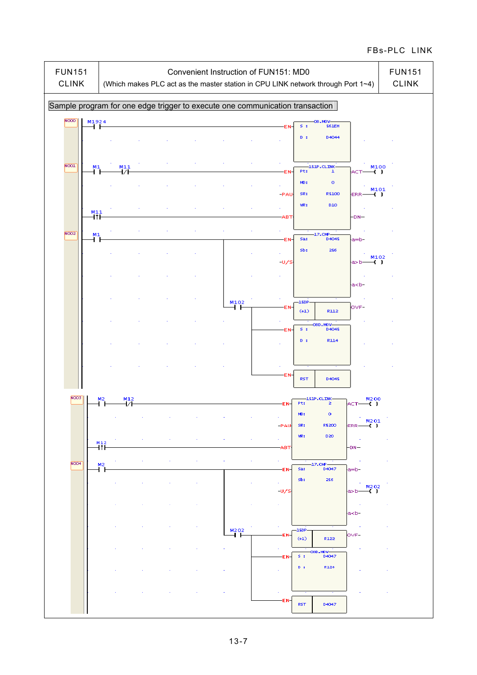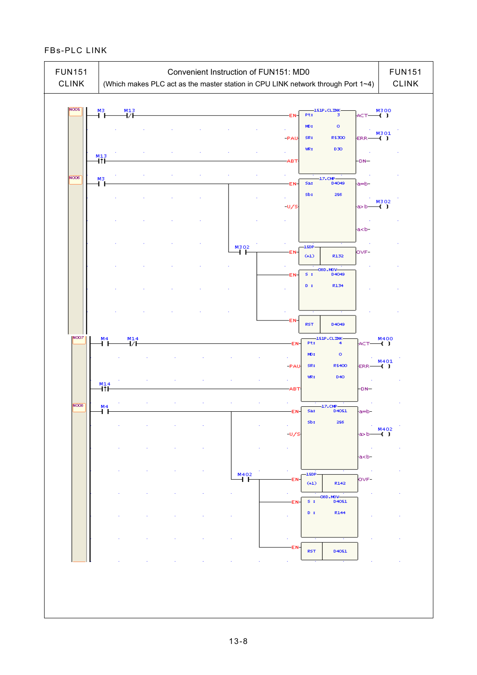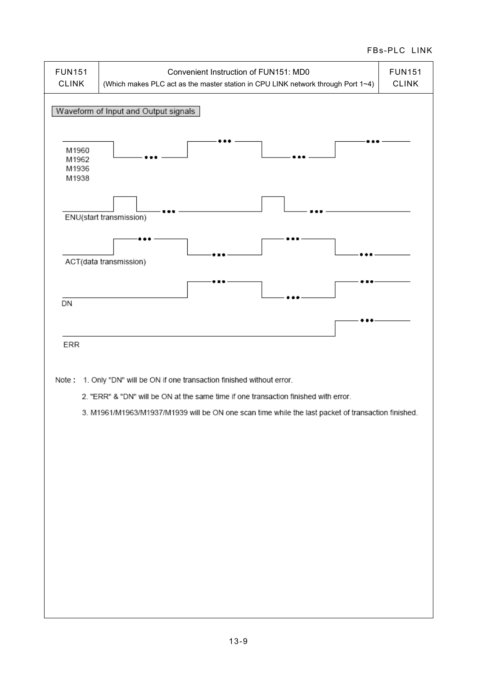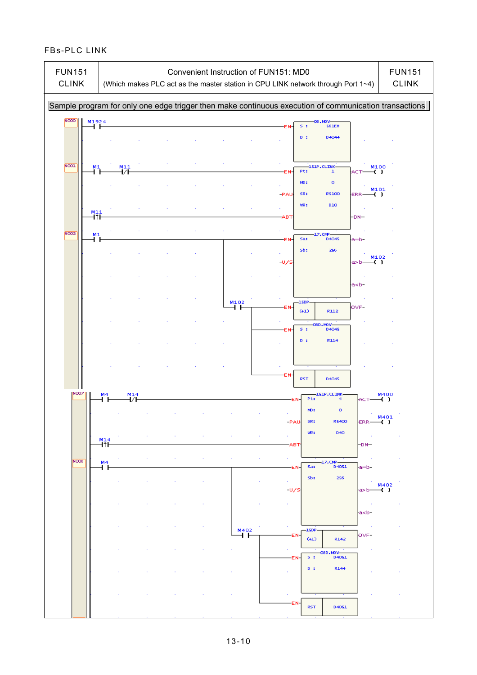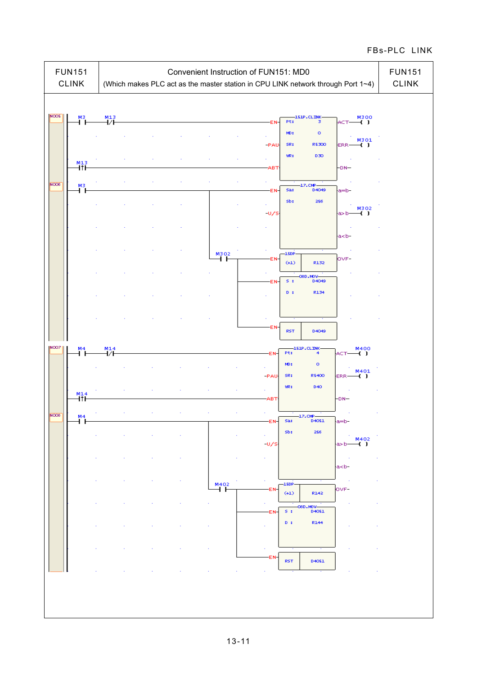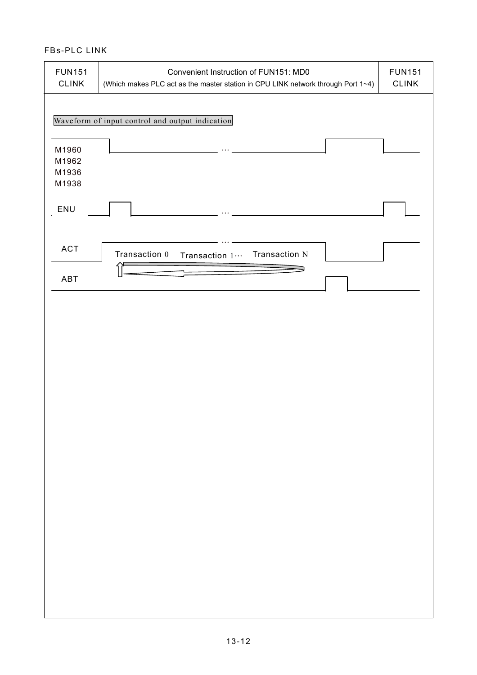| <b>FUN151</b><br>CLINK           | Convenient Instruction of FUN151: MD0<br>(Which makes PLC act as the master station in CPU LINK network through Port 1~4) | <b>FUN151</b><br><b>CLINK</b> |
|----------------------------------|---------------------------------------------------------------------------------------------------------------------------|-------------------------------|
|                                  | Waveform of input control and output indication                                                                           |                               |
| M1960<br>M1962<br>M1936<br>M1938 |                                                                                                                           |                               |
| ENU                              |                                                                                                                           |                               |
| ACT                              | Transaction 0<br>Transaction N<br>Transaction 1 ···                                                                       |                               |
| ABT                              |                                                                                                                           |                               |
|                                  |                                                                                                                           |                               |
|                                  |                                                                                                                           |                               |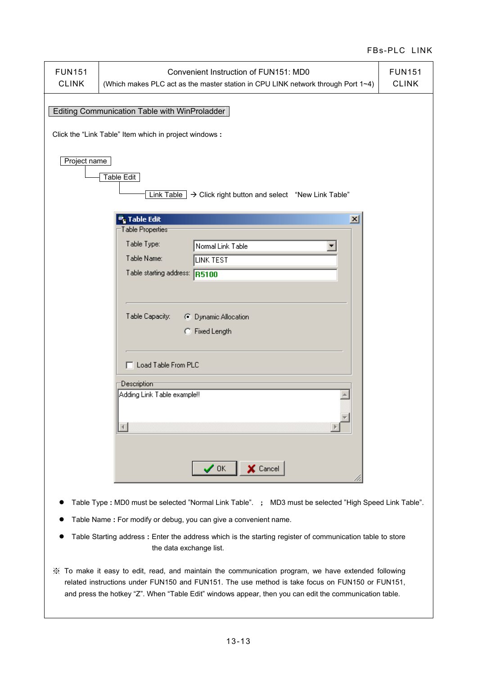| <b>FUN151</b><br>Convenient Instruction of FUN151: MD0<br><b>FUN151</b><br><b>CLINK</b><br><b>CLINK</b><br>(Which makes PLC act as the master station in CPU LINK network through Port 1~4) |  |  |  |  |  |  |
|---------------------------------------------------------------------------------------------------------------------------------------------------------------------------------------------|--|--|--|--|--|--|
| Editing Communication Table with WinProladder<br>Click the "Link Table" Item which in project windows:                                                                                      |  |  |  |  |  |  |
| Project name<br>Table Edit                                                                                                                                                                  |  |  |  |  |  |  |
| Link Table $\rightarrow$ Click right button and select "New Link Table"<br><sup>更</sup> ,Table Edit<br>$\vert x \vert$                                                                      |  |  |  |  |  |  |
| Table Properties <sup>-</sup>                                                                                                                                                               |  |  |  |  |  |  |
| Table Type:                                                                                                                                                                                 |  |  |  |  |  |  |
| Normal Link Table<br>Table Name:                                                                                                                                                            |  |  |  |  |  |  |
| LINK TEST                                                                                                                                                                                   |  |  |  |  |  |  |
| Table starting address: R5100                                                                                                                                                               |  |  |  |  |  |  |
|                                                                                                                                                                                             |  |  |  |  |  |  |
|                                                                                                                                                                                             |  |  |  |  |  |  |
| Table Capacity:<br>C Dynamic Allocation                                                                                                                                                     |  |  |  |  |  |  |
| C Fixed Length                                                                                                                                                                              |  |  |  |  |  |  |
|                                                                                                                                                                                             |  |  |  |  |  |  |
|                                                                                                                                                                                             |  |  |  |  |  |  |
| Load Table From PLC                                                                                                                                                                         |  |  |  |  |  |  |
| Description                                                                                                                                                                                 |  |  |  |  |  |  |
| Adding Link Table example!!                                                                                                                                                                 |  |  |  |  |  |  |
|                                                                                                                                                                                             |  |  |  |  |  |  |
|                                                                                                                                                                                             |  |  |  |  |  |  |
|                                                                                                                                                                                             |  |  |  |  |  |  |
|                                                                                                                                                                                             |  |  |  |  |  |  |
|                                                                                                                                                                                             |  |  |  |  |  |  |
| X Cancel<br>$\boldsymbol{\checkmark}$ ok                                                                                                                                                    |  |  |  |  |  |  |
|                                                                                                                                                                                             |  |  |  |  |  |  |
| Table Type: MD0 must be selected "Normal Link Table". ; MD3 must be selected "High Speed Link Table".                                                                                       |  |  |  |  |  |  |
| Table Name: For modify or debug, you can give a convenient name.                                                                                                                            |  |  |  |  |  |  |
| Table Starting address : Enter the address which is the starting register of communication table to store<br>the data exchange list.                                                        |  |  |  |  |  |  |

 ※ To make it easy to edit, read, and maintain the communication program, we have extended following related instructions under FUN150 and FUN151. The use method is take focus on FUN150 or FUN151, and press the hotkey "Z". When "Table Edit" windows appear, then you can edit the communication table.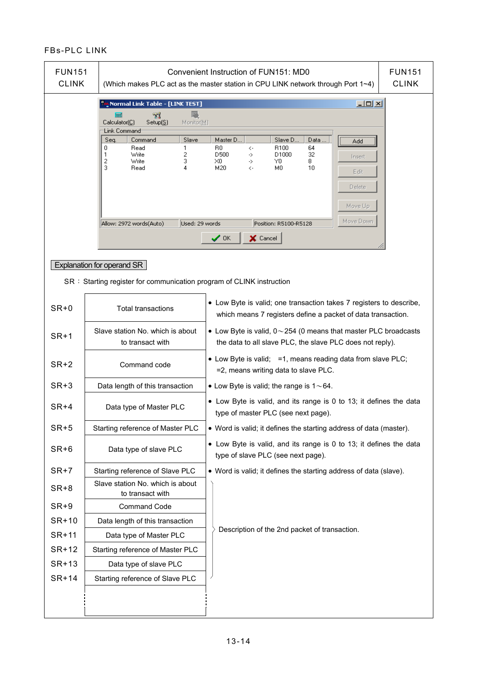| <b>FUN151</b><br><b>CLINK</b> |                                                                                                                    | Convenient Instruction of FUN151: MD0<br><b>FUN151</b><br><b>CLINK</b><br>(Which makes PLC act as the master station in CPU LINK network through Port 1~4)                           |  |  |  |  |  |  |
|-------------------------------|--------------------------------------------------------------------------------------------------------------------|--------------------------------------------------------------------------------------------------------------------------------------------------------------------------------------|--|--|--|--|--|--|
|                               | Normal Link Table - [LINK TEST] <mark>س</mark><br>F<br>-71<br>羅<br>Calculator(C)<br>Setup[S]<br>Monitor(M)         | $\Box$ u $\times$                                                                                                                                                                    |  |  |  |  |  |  |
|                               | Link Command<br>Command<br>Slave<br>Seq.<br>0<br>Read<br>1<br>2<br>Write<br>1<br>2<br>Write<br>3<br>3<br>4<br>Read | Master D<br>Slave D.,<br>Data<br>Add<br>64<br>R0<br>R100<br><-<br>D500<br>D1000<br>32<br>-><br>Insert<br>XO.<br>8.<br>Y0<br>-><br>10<br>M20<br>M0<br><-<br>Edit<br>Delete<br>Move Up |  |  |  |  |  |  |
|                               | Allow: 2972 words(Auto)<br>Used: 29 words                                                                          | Move Down<br>Position: R5100-R5128                                                                                                                                                   |  |  |  |  |  |  |
|                               |                                                                                                                    | $\boldsymbol{\checkmark}$ ok<br>X Cancel                                                                                                                                             |  |  |  |  |  |  |
|                               | Explanation for operand SR                                                                                         |                                                                                                                                                                                      |  |  |  |  |  |  |
|                               | SR: Starting register for communication program of CLINK instruction                                               | • Low Byte is valid; one transaction takes 7 registers to describe,                                                                                                                  |  |  |  |  |  |  |
| $SR+0$                        | <b>Total transactions</b>                                                                                          | which means 7 registers define a packet of data transaction.                                                                                                                         |  |  |  |  |  |  |
| $SR+1$                        | Slave station No. which is about<br>to transact with                                                               | $\bullet$ Low Byte is valid, 0 $\sim$ 254 (0 means that master PLC broadcasts<br>the data to all slave PLC, the slave PLC does not reply).                                           |  |  |  |  |  |  |
| $SR+2$                        | Command code                                                                                                       | • Low Byte is valid; = 1, means reading data from slave PLC;<br>=2, means writing data to slave PLC.                                                                                 |  |  |  |  |  |  |
| $SR+3$                        | Data length of this transaction                                                                                    | • Low Byte is valid; the range is $1 \sim 64$ .                                                                                                                                      |  |  |  |  |  |  |
| $SR+4$                        | Data type of Master PLC                                                                                            | • Low Byte is valid, and its range is 0 to 13; it defines the data<br>type of master PLC (see next page).                                                                            |  |  |  |  |  |  |
| $SR+5$                        | Starting reference of Master PLC                                                                                   | • Word is valid; it defines the starting address of data (master).                                                                                                                   |  |  |  |  |  |  |
| $SR+6$                        | Data type of slave PLC                                                                                             | • Low Byte is valid, and its range is 0 to 13; it defines the data<br>type of slave PLC (see next page).                                                                             |  |  |  |  |  |  |
| $SR+7$                        | Starting reference of Slave PLC                                                                                    | • Word is valid; it defines the starting address of data (slave).                                                                                                                    |  |  |  |  |  |  |
| $SR+8$                        | Slave station No. which is about<br>to transact with                                                               |                                                                                                                                                                                      |  |  |  |  |  |  |
| $SR+9$                        | <b>Command Code</b>                                                                                                |                                                                                                                                                                                      |  |  |  |  |  |  |
| SR+10                         | Data length of this transaction                                                                                    |                                                                                                                                                                                      |  |  |  |  |  |  |
| SR+11                         | Data type of Master PLC                                                                                            | Description of the 2nd packet of transaction.                                                                                                                                        |  |  |  |  |  |  |
| SR+12                         | Starting reference of Master PLC                                                                                   |                                                                                                                                                                                      |  |  |  |  |  |  |
| SR+13                         | Data type of slave PLC                                                                                             |                                                                                                                                                                                      |  |  |  |  |  |  |
| SR+14                         | Starting reference of Slave PLC                                                                                    |                                                                                                                                                                                      |  |  |  |  |  |  |
|                               |                                                                                                                    |                                                                                                                                                                                      |  |  |  |  |  |  |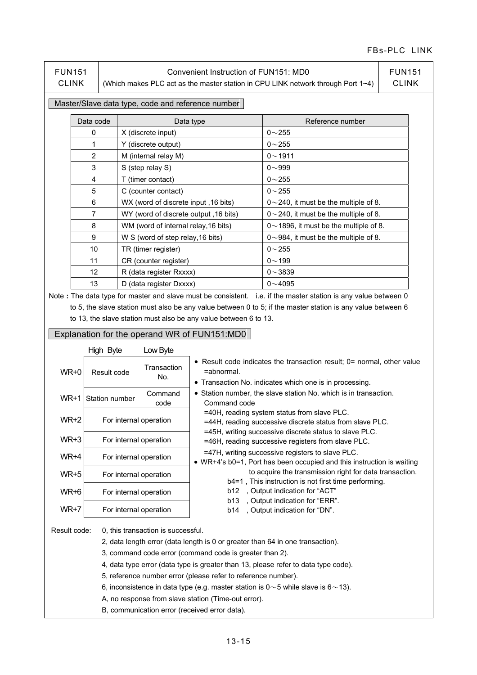FUN151 CLINK

#### Convenient Instruction of FUN151: MD0

(Which makes PLC act as the master station in CPU LINK network through Port 1~4)

FUN151 CLINK

#### Master/Slave data type, code and reference number

| Data code         | Data type                                       | Reference number                             |
|-------------------|-------------------------------------------------|----------------------------------------------|
| 0                 | X (discrete input)                              | $0 - 255$                                    |
|                   | Y (discrete output)                             | $0 - 255$                                    |
| 2                 | M (internal relay M)                            | $0 - 1911$                                   |
| 3                 | S (step relay S)                                | $0 - 999$                                    |
| 4                 | T (timer contact)                               | $0 - 255$                                    |
| 5                 | C (counter contact)                             | $0 - 255$                                    |
| 6                 | WX (word of discrete input, 16 bits)            | $0\sim$ 240, it must be the multiple of 8.   |
| 7                 | (16 bits) WY (word of discrete output ,16 bits) | $0 \sim 240$ , it must be the multiple of 8. |
| 8                 | WM (word of internal relay, 16 bits)            | $0$ ~ 1896, it must be the multiple of 8.    |
| 9                 | W S (word of step relay, 16 bits)               | $0 \sim 984$ , it must be the multiple of 8. |
| 10                | TR (timer register)                             | $0 - 255$                                    |
| 11                | CR (counter register)                           | $0 - 199$                                    |
| $12 \overline{ }$ | R (data register Rxxxx)                         | $0 - 3839$                                   |
| 13                | D (data register Dxxxx)                         | $0 - 4095$                                   |

Note **:** The data type for master and slave must be consistent. i.e. if the master station is any value between 0 to 5, the slave station must also be any value between 0 to 5; if the master station is any value between 6 to 13, the slave station must also be any value between 6 to 13.

#### Explanation for the operand WR of FUN151:MD0

|                                                                                                                                                            | High Byte              | Low Byte               |                                                                                                                                                                                                                                                                                                                                                                                                 |  |  |  |  |  |
|------------------------------------------------------------------------------------------------------------------------------------------------------------|------------------------|------------------------|-------------------------------------------------------------------------------------------------------------------------------------------------------------------------------------------------------------------------------------------------------------------------------------------------------------------------------------------------------------------------------------------------|--|--|--|--|--|
| WR+0                                                                                                                                                       | Result code            | Transaction<br>No.     | • Result code indicates the transaction result; $0=$ normal, other value<br>=abnormal.<br>• Transaction No. indicates which one is in processing.                                                                                                                                                                                                                                               |  |  |  |  |  |
|                                                                                                                                                            | WR+1 Station number    | Command<br>code        | • Station number, the slave station No. which is in transaction.<br>Command code                                                                                                                                                                                                                                                                                                                |  |  |  |  |  |
| WR+2                                                                                                                                                       | For internal operation |                        | =40H, reading system status from slave PLC.<br>=44H, reading successive discrete status from slave PLC.                                                                                                                                                                                                                                                                                         |  |  |  |  |  |
| WR+3                                                                                                                                                       |                        | For internal operation | =45H, writing successive discrete status to slave PLC.<br>=46H, reading successive registers from slave PLC.                                                                                                                                                                                                                                                                                    |  |  |  |  |  |
| WR+4                                                                                                                                                       | For internal operation |                        | =47H, writing successive registers to slave PLC.<br>• WR+4's b0=1, Port has been occupied and this instruction is waiting                                                                                                                                                                                                                                                                       |  |  |  |  |  |
| WR+5                                                                                                                                                       |                        | For internal operation | to acquire the transmission right for data transaction.<br>b4=1, This instruction is not first time performing.<br>, Output indication for "ACT"<br>b12<br><b>b13</b>                                                                                                                                                                                                                           |  |  |  |  |  |
| WR+6                                                                                                                                                       | For internal operation |                        |                                                                                                                                                                                                                                                                                                                                                                                                 |  |  |  |  |  |
| WR+7                                                                                                                                                       | For internal operation |                        | , Output indication for "ERR".<br>, Output indication for "DN".<br>b14                                                                                                                                                                                                                                                                                                                          |  |  |  |  |  |
| 0, this transaction is successful.<br>Result code:<br>A, no response from slave station (Time-out error).<br>B, communication error (received error data). |                        |                        | 2, data length error (data length is 0 or greater than 64 in one transaction).<br>3, command code error (command code is greater than 2).<br>4, data type error (data type is greater than 13, please refer to data type code).<br>5, reference number error (please refer to reference number).<br>6, inconsistence in data type (e.g. master station is $0\sim$ 5 while slave is $6\sim$ 13). |  |  |  |  |  |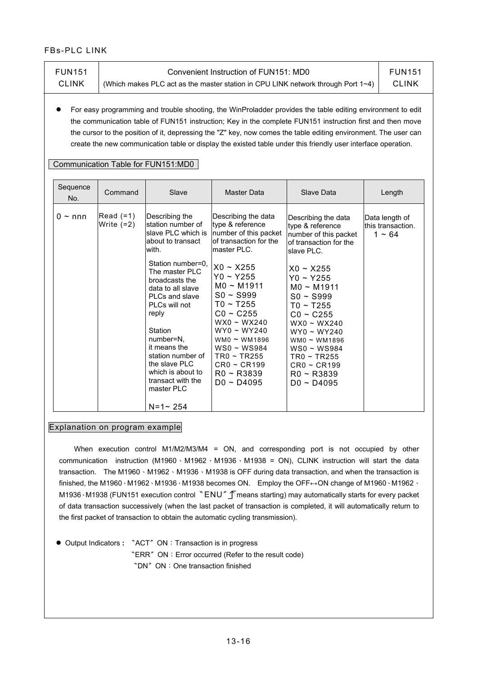| <b>FUN151</b><br><b>CLINK</b> | (Which makes PLC act as the master station in CPU LINK network through Port 1~4) | <b>FUN151</b><br><b>CLINK</b>                                                                                                                                                                                                                                                                                        |                                                                                                                                                                                                                                                                                                                                              |                                                                                                                                                                                                                                                                                                                                                                                                                                                             |                                                    |
|-------------------------------|----------------------------------------------------------------------------------|----------------------------------------------------------------------------------------------------------------------------------------------------------------------------------------------------------------------------------------------------------------------------------------------------------------------|----------------------------------------------------------------------------------------------------------------------------------------------------------------------------------------------------------------------------------------------------------------------------------------------------------------------------------------------|-------------------------------------------------------------------------------------------------------------------------------------------------------------------------------------------------------------------------------------------------------------------------------------------------------------------------------------------------------------------------------------------------------------------------------------------------------------|----------------------------------------------------|
|                               |                                                                                  | Communication Table for FUN151:MD0                                                                                                                                                                                                                                                                                   |                                                                                                                                                                                                                                                                                                                                              | For easy programming and trouble shooting, the WinProladder provides the table editing environment to edit<br>the communication table of FUN151 instruction; Key in the complete FUN151 instruction first and then move<br>the cursor to the position of it, depressing the "Z" key, now comes the table editing environment. The user can<br>create the new communication table or display the existed table under this friendly user interface operation. |                                                    |
| Sequence<br>No.               | Command                                                                          | Slave                                                                                                                                                                                                                                                                                                                | <b>Master Data</b>                                                                                                                                                                                                                                                                                                                           | Slave Data                                                                                                                                                                                                                                                                                                                                                                                                                                                  | Length                                             |
| $0 \sim$ nnn                  | Read $(=1)$<br>Write $(=2)$                                                      | Describing the<br>station number of<br>slave PLC which is<br>about to transact<br>with.<br>Station number=0.<br>The master PLC<br>broadcasts the<br>data to all slave<br>PLCs and slave<br>PLCs will not<br>reply<br>Station<br>number=N,<br>it means the<br>station number of<br>the slave PLC<br>which is about to | Describing the data<br>type & reference<br>number of this packet<br>of transaction for the<br>master PLC.<br>$X0 - X255$<br>$Y0 - Y255$<br>MO ~ M1911<br>$SO \sim$ S999<br>$TO - T255$<br>$CO \sim C255$<br>$WX0 - WX240$<br>$WY0 \sim WY240$<br>WM0 $\sim$ WM1896<br>WS0 ~ WS984<br>$TR0 \sim TR255$<br>$CRO \sim CR199$<br>$RO \sim R3839$ | Describing the data<br>type & reference<br>number of this packet<br>of transaction for the<br>slave PLC.<br>$X0 - X255$<br>$Y0 \sim Y255$<br>$MO \sim M1911$<br>$SO \sim$ S999<br>$TO - T255$<br>$CO \sim C255$<br>$WX0 - WX240$<br>$WY0 \sim WY240$<br>WM0 $\sim$ WM1896<br>$WS0 \sim WSS84$<br>$TR0 \sim TR255$<br>$CRO \sim CR199$<br>R0 ~ R3839                                                                                                         | Data length of<br>this transaction.<br>$1 \sim 64$ |

#### Explanation on program example

When execution control M1/M2/M3/M4 = ON, and corresponding port is not occupied by other communication instruction (M1960、M1962、M1936、M1938 = ON), CLINK instruction will start the data transaction. The M1960 \ M1962 \ M1936 \ M1938 is OFF during data transaction, and when the transaction is finished, the M1960、M1962、M1936、M1938 becomes ON. Employ the OFF↔ON change of M1960、M1962、 M1936⋅M1938 (FUN151 execution control "ENU" T means starting) may automatically starts for every packet of data transaction successively (when the last packet of transaction is completed, it will automatically return to the first packet of transaction to obtain the automatic cycling transmission).

● Output Indicators **:** 〝ACT〞ON:Transaction is in progress 〝ERR〞ON:Error occurred (Refer to the result code) 〝DN〞ON:One transaction finished

master PLC

 $N=1$  ~ 254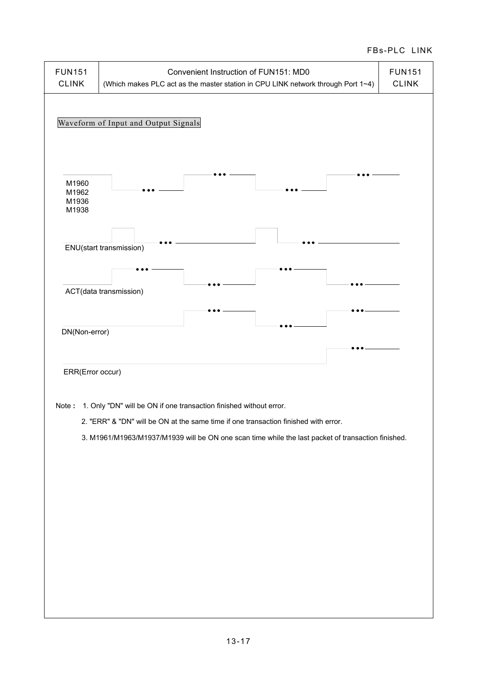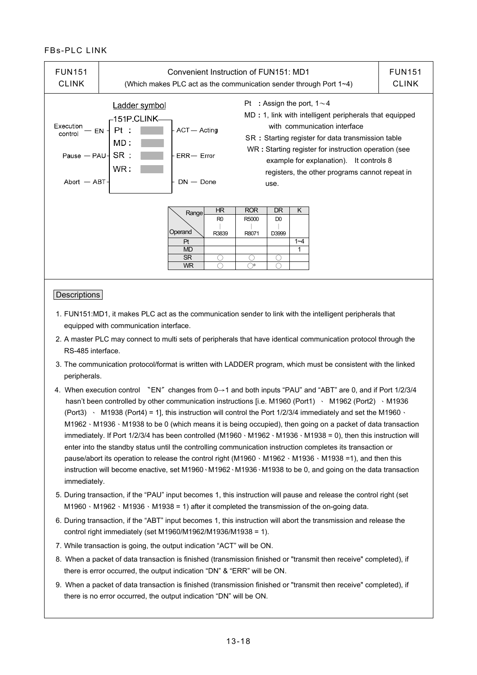| <b>FUN151</b><br><b>CLINK</b>                                                       | Convenient Instruction of FUN151: MD1<br>(Which makes PLC act as the communication sender through Port $1\neg 4$ ) |                                                               |                               |                                    |                               |                    |                                                                                                                                                                                                                                                                                                   | <b>FUN151</b><br><b>CLINK</b> |
|-------------------------------------------------------------------------------------|--------------------------------------------------------------------------------------------------------------------|---------------------------------------------------------------|-------------------------------|------------------------------------|-------------------------------|--------------------|---------------------------------------------------------------------------------------------------------------------------------------------------------------------------------------------------------------------------------------------------------------------------------------------------|-------------------------------|
| Execution<br>control<br>Pause $-$ PAU $\overline{\phantom{a}}$ SR :<br>Abort $-ABT$ | Ladder symbol<br>-151P.CLINK-<br>Pt<br>$EN -$<br>MD :<br>WR:                                                       | ACT-Acting<br>$ERR - Error$<br>$DN - Done$                    |                               | Pt : Assign the port, $1 \sim 4$   | use.                          |                    | MD : 1, link with intelligent peripherals that equipped<br>with communication interface<br>SR: Starting register for data transmission table<br>WR: Starting register for instruction operation (see<br>example for explanation). It controls 8<br>registers, the other programs cannot repeat in |                               |
|                                                                                     |                                                                                                                    | Range<br>Operand<br>Pt<br><b>MD</b><br><b>SR</b><br><b>WR</b> | HR<br>R <sub>0</sub><br>R3839 | <b>ROR</b><br>R5000<br>R8071<br>→* | DR<br>D <sub>0</sub><br>D3999 | K.<br>$1 - 4$<br>1 |                                                                                                                                                                                                                                                                                                   |                               |

#### **Descriptions**

- 1. FUN151:MD1, it makes PLC act as the communication sender to link with the intelligent peripherals that equipped with communication interface.
- 2. A master PLC may connect to multi sets of peripherals that have identical communication protocol through the RS-485 interface.
- 3. The communication protocol/format is written with LADDER program, which must be consistent with the linked peripherals.
- 4. When execution control 〝EN〞changes from 0→1 and both inputs "PAU" and "ABT" are 0, and if Port 1/2/3/4 hasn't been controlled by other communication instructions [i.e. M1960 (Port1) \ M1962 (Port2) \ M1936 (Port3)  $\cdot$  M1938 (Port4) = 1], this instruction will control the Port 1/2/3/4 immediately and set the M1960  $\cdot$ M1962、M1936、M1938 to be 0 (which means it is being occupied), then going on a packet of data transaction immediately. If Port 1/2/3/4 has been controlled (M1960、M1962、M1936、M1938 = 0), then this instruction will enter into the standby status until the controlling communication instruction completes its transaction or pause/abort its operation to release the control right (M1960、M1962、M1936、M1938 =1), and then this instruction will become enactive, set M1960、M1962、M1936、M1938 to be 0, and going on the data transaction immediately.
- 5. During transaction, if the "PAU" input becomes 1, this instruction will pause and release the control right (set M1960  $\cdot$  M1962  $\cdot$  M1936  $\cdot$  M1938 = 1) after it completed the transmission of the on-going data.
- 6. During transaction, if the "ABT" input becomes 1, this instruction will abort the transmission and release the control right immediately (set M1960/M1962/M1936/M1938 = 1).
- 7. While transaction is going, the output indication "ACT" will be ON.
- 8. When a packet of data transaction is finished (transmission finished or "transmit then receive" completed), if there is error occurred, the output indication "DN" & "ERR" will be ON.
- 9. When a packet of data transaction is finished (transmission finished or "transmit then receive" completed), if there is no error occurred, the output indication "DN" will be ON.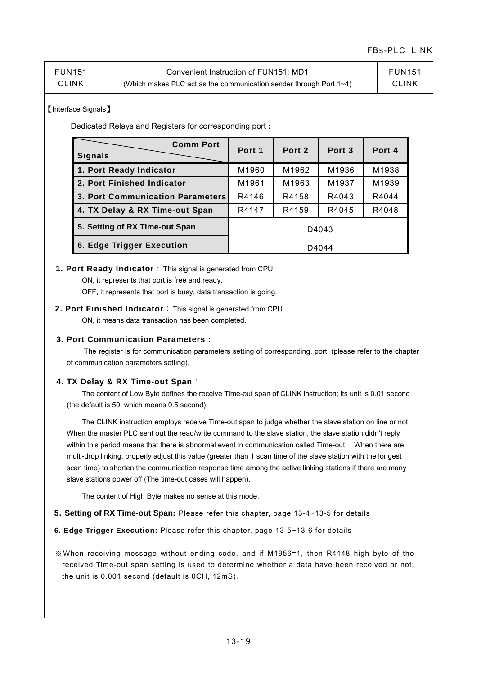| <b>FUN151</b> | Convenient Instruction of FUN151: MD1                                     | <b>FUN151</b> |
|---------------|---------------------------------------------------------------------------|---------------|
| <b>CLINK</b>  | (Which makes PLC act as the communication sender through Port $1\neg 4$ ) | <b>CLINK</b>  |

#### 【Interface Signals】

Dedicated Relays and Registers for corresponding port **:**

| <b>Comm Port</b><br><b>Signals</b>      | Port 1 | Port 2 | Port <sub>3</sub> | Port 4 |  |  |
|-----------------------------------------|--------|--------|-------------------|--------|--|--|
| 1. Port Ready Indicator                 | M1960  | M1962  | M1936             | M1938  |  |  |
| 2. Port Finished Indicator              | M1961  | M1963  | M1937             | M1939  |  |  |
| <b>3. Port Communication Parameters</b> | R4146  | R4158  | R4043             | R4044  |  |  |
| 4. TX Delay & RX Time-out Span          | R4147  | R4159  | R4045             | R4048  |  |  |
| 5. Setting of RX Time-out Span          |        |        | D4043             |        |  |  |
| 6. Edge Trigger Execution               | D4044  |        |                   |        |  |  |

#### **1. Port Ready Indicator**:This signal is generated from CPU.

ON, it represents that port is free and ready.

OFF, it represents that port is busy, data transaction is going.

#### **2. Port Finished Indicator**:This signal is generated from CPU.

ON, it means data transaction has been completed.

#### **3. Port Communication Parameters :**

 The register is for communication parameters setting of corresponding. port. (please refer to the chapter of communication parameters setting).

#### **4. TX Delay & RX Time-out Span**:

 $\overline{\phantom{a}}$ 

 The content of Low Byte defines the receive Time-out span of CLINK instruction; its unit is 0.01 second (the default is 50, which means 0.5 second).

 The CLINK instruction employs receive Time-out span to judge whether the slave station on line or not. When the master PLC sent out the read/write command to the slave station, the slave station didn't reply within this period means that there is abnormal event in communication called Time-out. When there are multi-drop linking, properly adjust this value (greater than 1 scan time of the slave station with the longest scan time) to shorten the communication response time among the active linking stations if there are many slave stations power off (The time-out cases will happen).

The content of High Byte makes no sense at this mode.

#### **5. Setting of RX Time-out Span:** Please refer this chapter, page 13-4~13-5 for details

- **6. Edge Trigger Execution:** Please refer this chapter, page 13-5~13-6 for details
- ※When receiving message without ending code, and if M1956=1, then R4148 high byte of the received Time-out span setting is used to determine whether a data have been received or not, the unit is 0.001 second (default is 0CH, 12mS).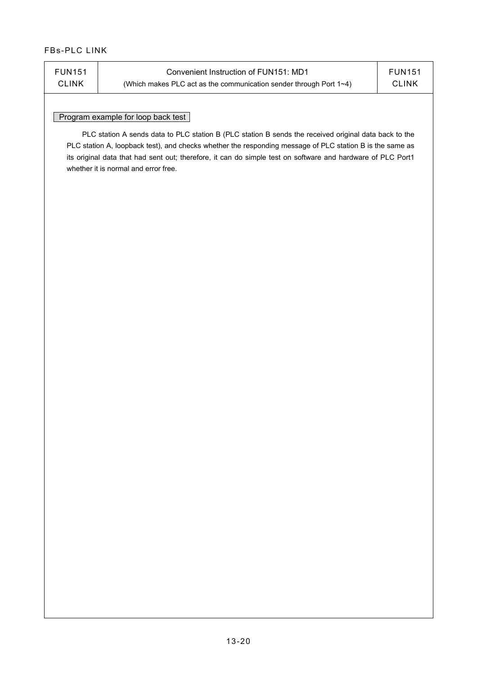| <b>FUN151</b> | Convenient Instruction of FUN151: MD1                                     | <b>FUN151</b> |
|---------------|---------------------------------------------------------------------------|---------------|
| <b>CLINK</b>  | (Which makes PLC act as the communication sender through Port $1\neg 4$ ) | <b>CLINK</b>  |
|               |                                                                           |               |

#### Program example for loop back test

 PLC station A sends data to PLC station B (PLC station B sends the received original data back to the PLC station A, loopback test), and checks whether the responding message of PLC station B is the same as its original data that had sent out; therefore, it can do simple test on software and hardware of PLC Port1 whether it is normal and error free.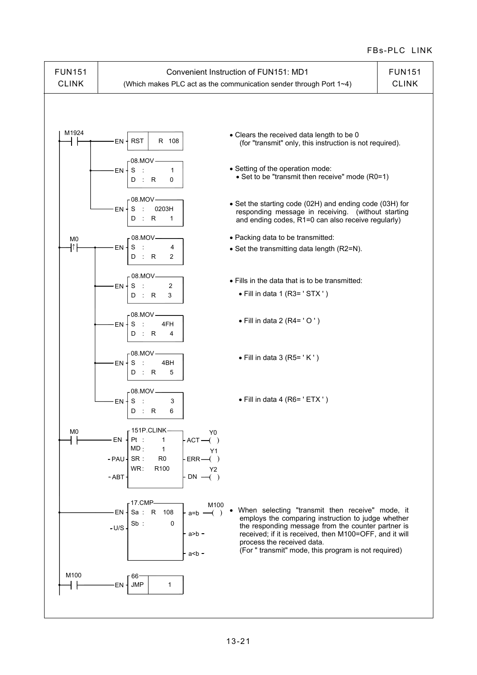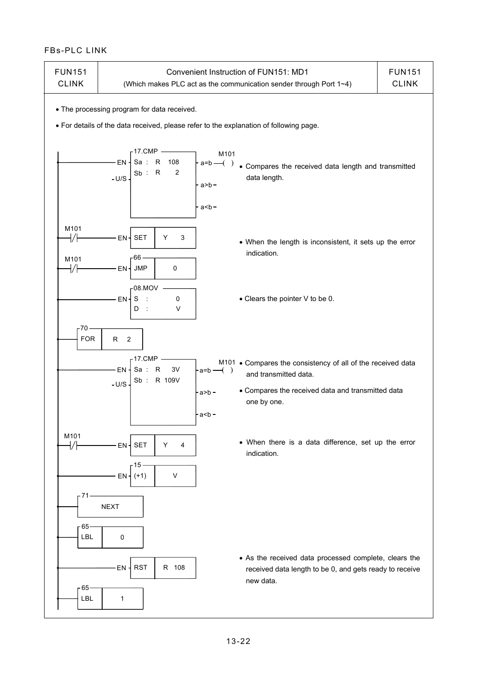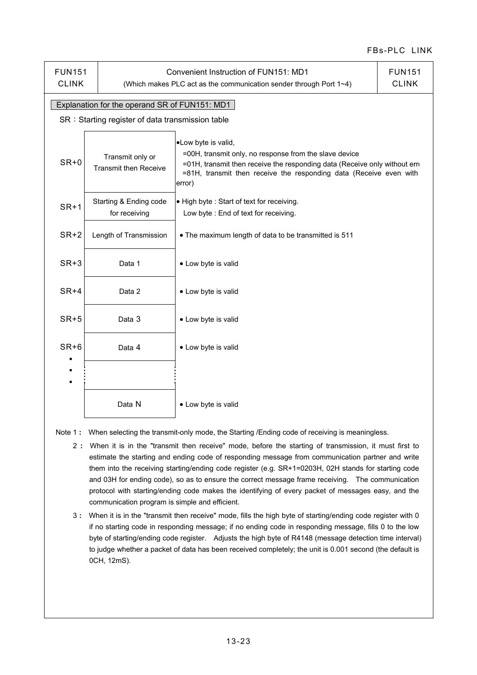| <b>FUN151</b><br><b>CLINK</b> |                                                                                                   | Convenient Instruction of FUN151: MD1<br>(Which makes PLC act as the communication sender through Port 1~4)                                                                                                                                 | <b>FUN151</b><br><b>CLINK</b> |  |  |  |
|-------------------------------|---------------------------------------------------------------------------------------------------|---------------------------------------------------------------------------------------------------------------------------------------------------------------------------------------------------------------------------------------------|-------------------------------|--|--|--|
|                               | Explanation for the operand SR of FUN151: MD1<br>SR: Starting register of data transmission table |                                                                                                                                                                                                                                             |                               |  |  |  |
| $SR + 0$                      | Transmit only or<br><b>Transmit then Receive</b>                                                  | •Low byte is valid,<br>=00H, transmit only, no response from the slave device<br>=01H, transmit then receive the responding data (Receive only without erro<br>=81H, transmit then receive the responding data (Receive even with<br>error) |                               |  |  |  |
| $SR+1$                        | Starting & Ending code<br>for receiving                                                           | . High byte: Start of text for receiving.<br>Low byte: End of text for receiving.                                                                                                                                                           |                               |  |  |  |
| $SR+2$                        | Length of Transmission<br>. The maximum length of data to be transmitted is 511                   |                                                                                                                                                                                                                                             |                               |  |  |  |
| $SR+3$                        | Data 1                                                                                            | • Low byte is valid                                                                                                                                                                                                                         |                               |  |  |  |
| $SR+4$                        | Data 2                                                                                            | • Low byte is valid                                                                                                                                                                                                                         |                               |  |  |  |
| $SR+5$                        | Data 3                                                                                            | • Low byte is valid                                                                                                                                                                                                                         |                               |  |  |  |
| $SR+6$<br>$\bullet$           | Data 4                                                                                            | • Low byte is valid                                                                                                                                                                                                                         |                               |  |  |  |
|                               |                                                                                                   |                                                                                                                                                                                                                                             |                               |  |  |  |
|                               | Data N                                                                                            | • Low byte is valid                                                                                                                                                                                                                         |                               |  |  |  |

Note 1 : When selecting the transmit-only mode, the Starting /Ending code of receiving is meaningless.

- 2 **:** When it is in the "transmit then receive" mode, before the starting of transmission, it must first to estimate the starting and ending code of responding message from communication partner and write them into the receiving starting/ending code register (e.g. SR+1=0203H, 02H stands for starting code and 03H for ending code), so as to ensure the correct message frame receiving. The communication protocol with starting/ending code makes the identifying of every packet of messages easy, and the communication program is simple and efficient.
- 3 **:** When it is in the "transmit then receive" mode, fills the high byte of starting/ending code register with 0 if no starting code in responding message; if no ending code in responding message, fills 0 to the low byte of starting/ending code register. Adjusts the high byte of R4148 (message detection time interval) to judge whether a packet of data has been received completely; the unit is 0.001 second (the default is 0CH, 12mS).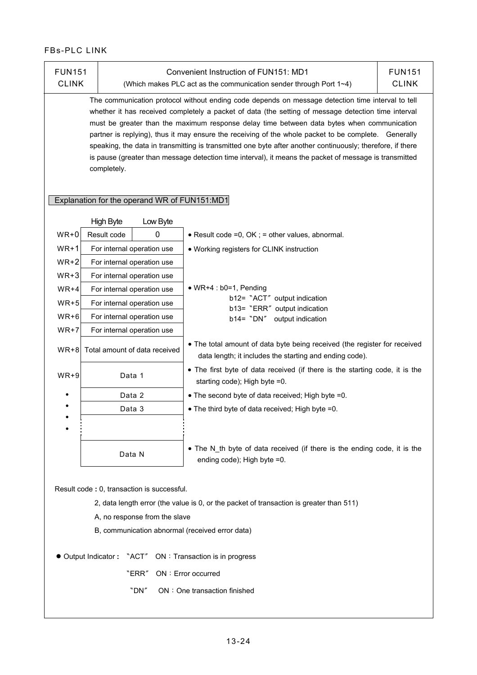| <b>FUN151</b> |                                                                                                                                                                                                                                                                                                                                                                                                                                                                                                                                                                                                                                                       |                                                                             | Convenient Instruction of FUN151: MD1                                                                                                      | <b>FUN151</b> |  |  |  |  |
|---------------|-------------------------------------------------------------------------------------------------------------------------------------------------------------------------------------------------------------------------------------------------------------------------------------------------------------------------------------------------------------------------------------------------------------------------------------------------------------------------------------------------------------------------------------------------------------------------------------------------------------------------------------------------------|-----------------------------------------------------------------------------|--------------------------------------------------------------------------------------------------------------------------------------------|---------------|--|--|--|--|
| <b>CLINK</b>  |                                                                                                                                                                                                                                                                                                                                                                                                                                                                                                                                                                                                                                                       |                                                                             | (Which makes PLC act as the communication sender through Port 1~4)                                                                         | <b>CLINK</b>  |  |  |  |  |
|               | The communication protocol without ending code depends on message detection time interval to tell<br>whether it has received completely a packet of data (the setting of message detection time interval<br>must be greater than the maximum response delay time between data bytes when communication<br>partner is replying), thus it may ensure the receiving of the whole packet to be complete. Generally<br>speaking, the data in transmitting is transmitted one byte after another continuously; therefore, if there<br>is pause (greater than message detection time interval), it means the packet of message is transmitted<br>completely. |                                                                             |                                                                                                                                            |               |  |  |  |  |
|               |                                                                                                                                                                                                                                                                                                                                                                                                                                                                                                                                                                                                                                                       | Explanation for the operand WR of FUN151:MD1                                |                                                                                                                                            |               |  |  |  |  |
|               | <b>High Byte</b>                                                                                                                                                                                                                                                                                                                                                                                                                                                                                                                                                                                                                                      | Low Byte                                                                    |                                                                                                                                            |               |  |  |  |  |
| $WR+0$        | Result code                                                                                                                                                                                                                                                                                                                                                                                                                                                                                                                                                                                                                                           | 0                                                                           | • Result code =0, OK ; = other values, abnormal.                                                                                           |               |  |  |  |  |
| $WR+1$        |                                                                                                                                                                                                                                                                                                                                                                                                                                                                                                                                                                                                                                                       | For internal operation use                                                  | • Working registers for CLINK instruction                                                                                                  |               |  |  |  |  |
| $WR+2$        |                                                                                                                                                                                                                                                                                                                                                                                                                                                                                                                                                                                                                                                       | For internal operation use                                                  |                                                                                                                                            |               |  |  |  |  |
| $WR+3$        |                                                                                                                                                                                                                                                                                                                                                                                                                                                                                                                                                                                                                                                       | For internal operation use                                                  |                                                                                                                                            |               |  |  |  |  |
| $WR+4$        | For internal operation use                                                                                                                                                                                                                                                                                                                                                                                                                                                                                                                                                                                                                            | $\bullet$ WR+4 : b0=1, Pending                                              |                                                                                                                                            |               |  |  |  |  |
| $WR+5$        | b12= "ACT" output indication<br>For internal operation use<br>b13= "ERR" output indication                                                                                                                                                                                                                                                                                                                                                                                                                                                                                                                                                            |                                                                             |                                                                                                                                            |               |  |  |  |  |
| $WR+6$        | For internal operation use                                                                                                                                                                                                                                                                                                                                                                                                                                                                                                                                                                                                                            | b14= "DN"<br>output indication                                              |                                                                                                                                            |               |  |  |  |  |
| $WR+7$        |                                                                                                                                                                                                                                                                                                                                                                                                                                                                                                                                                                                                                                                       | For internal operation use                                                  |                                                                                                                                            |               |  |  |  |  |
| $WR + 8$      |                                                                                                                                                                                                                                                                                                                                                                                                                                                                                                                                                                                                                                                       | Total amount of data received                                               | • The total amount of data byte being received (the register for received<br>data length; it includes the starting and ending code).       |               |  |  |  |  |
| $WR+9$        |                                                                                                                                                                                                                                                                                                                                                                                                                                                                                                                                                                                                                                                       | Data 1                                                                      | • The first byte of data received (if there is the starting code, it is the<br>starting code); High byte =0.                               |               |  |  |  |  |
|               |                                                                                                                                                                                                                                                                                                                                                                                                                                                                                                                                                                                                                                                       | Data 2                                                                      | • The second byte of data received; High byte =0.                                                                                          |               |  |  |  |  |
|               |                                                                                                                                                                                                                                                                                                                                                                                                                                                                                                                                                                                                                                                       | Data 3                                                                      | • The third byte of data received; High byte =0.                                                                                           |               |  |  |  |  |
|               |                                                                                                                                                                                                                                                                                                                                                                                                                                                                                                                                                                                                                                                       |                                                                             |                                                                                                                                            |               |  |  |  |  |
|               |                                                                                                                                                                                                                                                                                                                                                                                                                                                                                                                                                                                                                                                       | Data N                                                                      | • The N_th byte of data received (if there is the ending code, it is the<br>ending code); High byte =0.                                    |               |  |  |  |  |
|               |                                                                                                                                                                                                                                                                                                                                                                                                                                                                                                                                                                                                                                                       | Result code: 0, transaction is successful.<br>A, no response from the slave | 2, data length error (the value is 0, or the packet of transaction is greater than 511)<br>B, communication abnormal (received error data) |               |  |  |  |  |
|               |                                                                                                                                                                                                                                                                                                                                                                                                                                                                                                                                                                                                                                                       |                                                                             |                                                                                                                                            |               |  |  |  |  |
|               | ● Output Indicator: "ACT"                                                                                                                                                                                                                                                                                                                                                                                                                                                                                                                                                                                                                             |                                                                             | ON: Transaction is in progress                                                                                                             |               |  |  |  |  |
|               |                                                                                                                                                                                                                                                                                                                                                                                                                                                                                                                                                                                                                                                       | "ERR"                                                                       | ON: Error occurred                                                                                                                         |               |  |  |  |  |
|               |                                                                                                                                                                                                                                                                                                                                                                                                                                                                                                                                                                                                                                                       | "DN"                                                                        | ON : One transaction finished                                                                                                              |               |  |  |  |  |
|               |                                                                                                                                                                                                                                                                                                                                                                                                                                                                                                                                                                                                                                                       |                                                                             |                                                                                                                                            |               |  |  |  |  |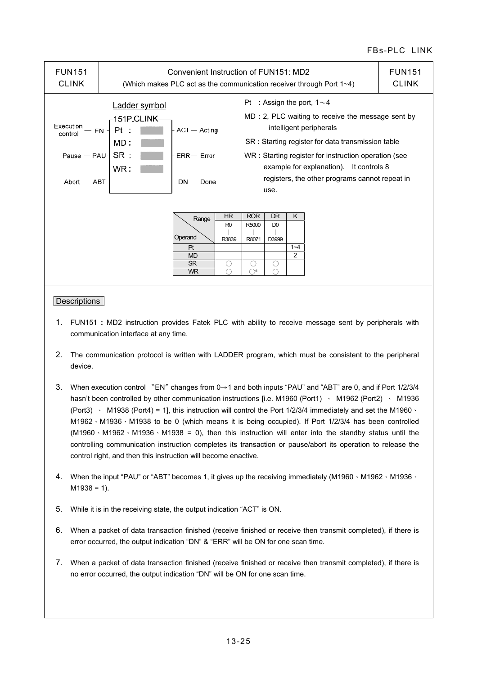| <b>FUN151</b><br><b>CLINK</b>                                                               | Convenient Instruction of FUN151: MD2<br>(Which makes PLC act as the communication receiver through Port 1~4) |                                                               |                                          |                                          |                                                | <b>FUN151</b><br><b>CLINK</b> |                                                                                                                                                                                                                                                                                                                             |  |
|---------------------------------------------------------------------------------------------|---------------------------------------------------------------------------------------------------------------|---------------------------------------------------------------|------------------------------------------|------------------------------------------|------------------------------------------------|-------------------------------|-----------------------------------------------------------------------------------------------------------------------------------------------------------------------------------------------------------------------------------------------------------------------------------------------------------------------------|--|
| Execution<br>EN<br>control<br>Pause $-$ PAU $\overline{\phantom{a}}$ SR :<br>Abort $-ABT -$ | Ladder symbol<br>–151P.CLINK–<br>Pt<br>MD:<br>WR:                                                             | - ACT - Acting<br>$ERR - Error$<br>$DN - Done$                |                                          |                                          | use.                                           |                               | Pt : Assign the port, $1 \sim 4$<br>MD : 2, PLC waiting to receive the message sent by<br>intelligent peripherals<br>SR: Starting register for data transmission table<br>WR: Starting register for instruction operation (see<br>example for explanation). It controls 8<br>registers, the other programs cannot repeat in |  |
|                                                                                             |                                                                                                               | Range<br>Operand<br>Pt<br><b>MD</b><br><b>SR</b><br><b>WR</b> | HR<br>R <sub>0</sub><br>R3839<br>()<br>∩ | <b>ROR</b><br>R5000<br>R8071<br>.)<br>⌒* | <b>DR</b><br>D <sub>0</sub><br>D3999<br>O<br>∩ | K<br>$1 - 4$<br>2             |                                                                                                                                                                                                                                                                                                                             |  |

- 1. FUN151 **:** MD2 instruction provides Fatek PLC with ability to receive message sent by peripherals with communication interface at any time.
- 2. The communication protocol is written with LADDER program, which must be consistent to the peripheral device.
- 3. When execution control 〝EN〞changes from 0→1 and both inputs "PAU" and "ABT" are 0, and if Port 1/2/3/4 hasn't been controlled by other communication instructions [i.e. M1960 (Port1) · M1962 (Port2) · M1936 (Port3)  $\cdot$  M1938 (Port4) = 1], this instruction will control the Port 1/2/3/4 immediately and set the M1960  $\cdot$ M1962、M1936、M1938 to be 0 (which means it is being occupied). If Port 1/2/3/4 has been controlled  $(M1960 \cdot M1962 \cdot M1936 \cdot M1938 = 0)$ , then this instruction will enter into the standby status until the controlling communication instruction completes its transaction or pause/abort its operation to release the control right, and then this instruction will become enactive.
- 4. When the input "PAU" or "ABT" becomes 1, it gives up the receiving immediately (M1960、M1962、M1936、  $M1938 = 1$ ).
- 5. While it is in the receiving state, the output indication "ACT" is ON.
- 6. When a packet of data transaction finished (receive finished or receive then transmit completed), if there is error occurred, the output indication "DN" & "ERR" will be ON for one scan time.
- 7. When a packet of data transaction finished (receive finished or receive then transmit completed), if there is no error occurred, the output indication "DN" will be ON for one scan time.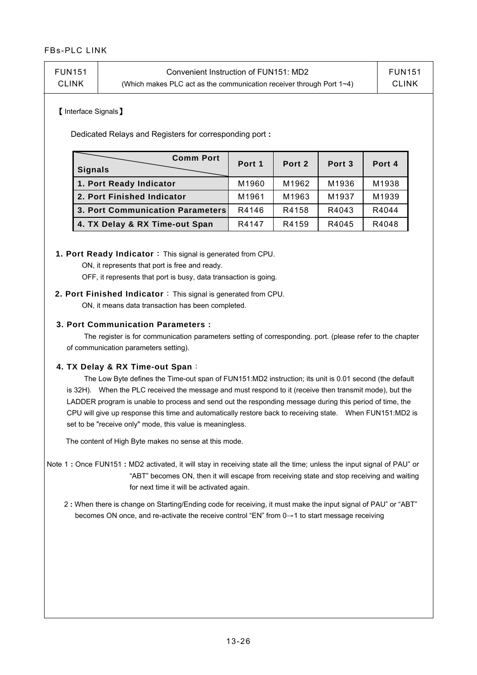| FUN151<br><b>FUN151</b><br>Convenient Instruction of FUN151: MD2<br><b>CLINK</b><br><b>CLINK</b><br>(Which makes PLC act as the communication receiver through Port $1\neg 4$ ) |
|---------------------------------------------------------------------------------------------------------------------------------------------------------------------------------|
|---------------------------------------------------------------------------------------------------------------------------------------------------------------------------------|

#### 【Interface Signals】

Dedicated Relays and Registers for corresponding port **:**

| <b>Comm Port</b><br><b>Signals</b> | Port 1 | Port 2 | Port <sub>3</sub> | Port 4 |
|------------------------------------|--------|--------|-------------------|--------|
| 1. Port Ready Indicator            | M1960  | M1962  | M1936             | M1938  |
| 2. Port Finished Indicator         | M1961  | M1963  | M1937             | M1939  |
| 3. Port Communication Parameters   | R4146  | R4158  | R4043             | R4044  |
| 4. TX Delay & RX Time-out Span     | R4147  | R4159  | R4045             | R4048  |

#### **1. Port Ready Indicator**:This signal is generated from CPU.

ON, it represents that port is free and ready.

OFF, it represents that port is busy, data transaction is going.

## **2. Port Finished Indicator**:This signal is generated from CPU.

ON, it means data transaction has been completed.

#### **3. Port Communication Parameters :**

 The register is for communication parameters setting of corresponding. port. (please refer to the chapter of communication parameters setting).

#### **4. TX Delay & RX Time-out Span**:

 The Low Byte defines the Time-out span of FUN151:MD2 instruction; its unit is 0.01 second (the default is 32H). When the PLC received the message and must respond to it (receive then transmit mode), but the LADDER program is unable to process and send out the responding message during this period of time, the CPU will give up response this time and automatically restore back to receiving state. When FUN151:MD2 is set to be "receive only" mode, this value is meaningless.

The content of High Byte makes no sense at this mode.

- Note 1 **:** Once FUN151 **:** MD2 activated, it will stay in receiving state all the time; unless the input signal of PAU" or "ABT" becomes ON, then it will escape from receiving state and stop receiving and waiting for next time it will be activated again.
	- 2 **:** When there is change on Starting/Ending code for receiving, it must make the input signal of PAU" or "ABT" becomes ON once, and re-activate the receive control "EN" from 0→1 to start message receiving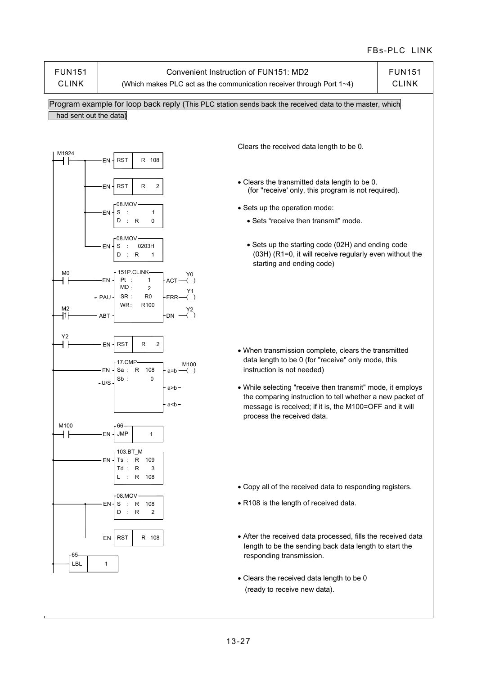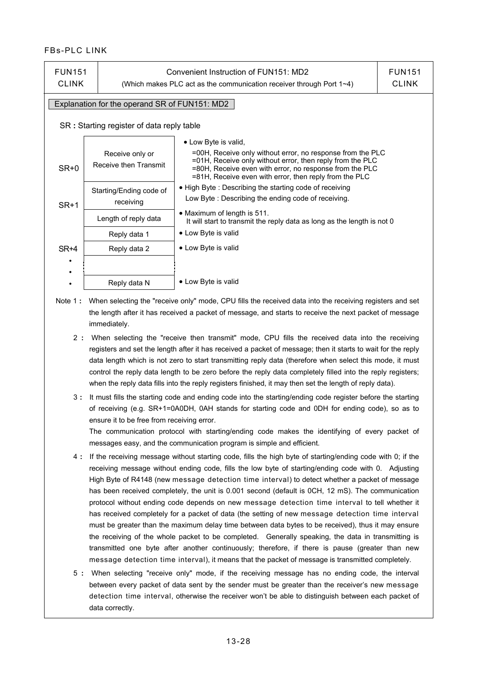| <b>FUN151</b><br><b>CLINK</b>                                                                                                                                                                                                                                                                                            |                                               | Convenient Instruction of FUN151: MD2<br>(Which makes PLC act as the communication receiver through Port $1\neg 4$ ) |  |  |  |  |  |
|--------------------------------------------------------------------------------------------------------------------------------------------------------------------------------------------------------------------------------------------------------------------------------------------------------------------------|-----------------------------------------------|----------------------------------------------------------------------------------------------------------------------|--|--|--|--|--|
|                                                                                                                                                                                                                                                                                                                          | Explanation for the operand SR of FUN151: MD2 |                                                                                                                      |  |  |  |  |  |
|                                                                                                                                                                                                                                                                                                                          | SR: Starting register of data reply table     |                                                                                                                      |  |  |  |  |  |
| • Low Byte is valid,<br>=00H, Receive only without error, no response from the PLC<br>Receive only or<br>=01H, Receive only without error, then reply from the PLC<br>Receive then Transmit<br>SR+0<br>=80H, Receive even with error, no response from the PLC<br>=81H, Receive even with error, then reply from the PLC |                                               |                                                                                                                      |  |  |  |  |  |
| $SR+1$                                                                                                                                                                                                                                                                                                                   | Starting/Ending code of<br>receiving          | • High Byte: Describing the starting code of receiving<br>Low Byte: Describing the ending code of receiving.         |  |  |  |  |  |
|                                                                                                                                                                                                                                                                                                                          | Length of reply data                          | • Maximum of length is $511$ .<br>It will start to transmit the reply data as long as the length is not 0            |  |  |  |  |  |
|                                                                                                                                                                                                                                                                                                                          | Reply data 1                                  | • Low Byte is valid                                                                                                  |  |  |  |  |  |
| SR+4                                                                                                                                                                                                                                                                                                                     | Reply data 2                                  | • Low Byte is valid                                                                                                  |  |  |  |  |  |
| ٠                                                                                                                                                                                                                                                                                                                        |                                               |                                                                                                                      |  |  |  |  |  |
| ٠<br>٠                                                                                                                                                                                                                                                                                                                   | Reply data N                                  | • Low Byte is valid                                                                                                  |  |  |  |  |  |

- Note 1 **:** When selecting the "receive only" mode, CPU fills the received data into the receiving registers and set the length after it has received a packet of message, and starts to receive the next packet of message immediately.
	- 2 **:** When selecting the "receive then transmit" mode, CPU fills the received data into the receiving registers and set the length after it has received a packet of message; then it starts to wait for the reply data length which is not zero to start transmitting reply data (therefore when select this mode, it must control the reply data length to be zero before the reply data completely filled into the reply registers; when the reply data fills into the reply registers finished, it may then set the length of reply data).
	- 3 **:** It must fills the starting code and ending code into the starting/ending code register before the starting of receiving (e.g. SR+1=0A0DH, 0AH stands for starting code and 0DH for ending code), so as to ensure it to be free from receiving error.

The communication protocol with starting/ending code makes the identifying of every packet of messages easy, and the communication program is simple and efficient.

- 4 **:** If the receiving message without starting code, fills the high byte of starting/ending code with 0; if the receiving message without ending code, fills the low byte of starting/ending code with 0. Adjusting High Byte of R4148 (new message detection time interval) to detect whether a packet of message has been received completely, the unit is 0.001 second (default is 0CH, 12 mS). The communication protocol without ending code depends on new message detection time interval to tell whether it has received completely for a packet of data (the setting of new message detection time interval must be greater than the maximum delay time between data bytes to be received), thus it may ensure the receiving of the whole packet to be completed. Generally speaking, the data in transmitting is transmitted one byte after another continuously; therefore, if there is pause (greater than new message detection time interval), it means that the packet of message is transmitted completely.
- 5 **:** When selecting "receive only" mode, if the receiving message has no ending code, the interval between every packet of data sent by the sender must be greater than the receiver's new message detection time interval, otherwise the receiver won't be able to distinguish between each packet of data correctly.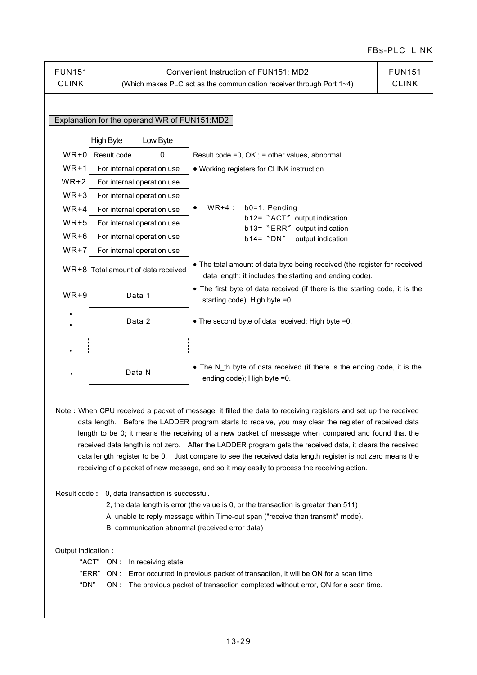| <b>FUN151</b><br><b>CLINK</b>                               |                                                                                                                                                                                                                                                                                                                                                                                                                                                                                                                                                                                                                                                         | Convenient Instruction of FUN151: MD2<br>(Which makes PLC act as the communication receiver through Port 1~4)                        | <b>FUN151</b><br><b>CLINK</b> |  |  |  |
|-------------------------------------------------------------|---------------------------------------------------------------------------------------------------------------------------------------------------------------------------------------------------------------------------------------------------------------------------------------------------------------------------------------------------------------------------------------------------------------------------------------------------------------------------------------------------------------------------------------------------------------------------------------------------------------------------------------------------------|--------------------------------------------------------------------------------------------------------------------------------------|-------------------------------|--|--|--|
|                                                             | Explanation for the operand WR of FUN151:MD2                                                                                                                                                                                                                                                                                                                                                                                                                                                                                                                                                                                                            |                                                                                                                                      |                               |  |  |  |
|                                                             | <b>High Byte</b><br>Low Byte                                                                                                                                                                                                                                                                                                                                                                                                                                                                                                                                                                                                                            |                                                                                                                                      |                               |  |  |  |
| $WR+0$                                                      | Result code<br>0                                                                                                                                                                                                                                                                                                                                                                                                                                                                                                                                                                                                                                        | Result code =0, OK ; = other values, abnormal.                                                                                       |                               |  |  |  |
| $WR+1$                                                      | For internal operation use                                                                                                                                                                                                                                                                                                                                                                                                                                                                                                                                                                                                                              | • Working registers for CLINK instruction                                                                                            |                               |  |  |  |
| $WR+2$                                                      | For internal operation use                                                                                                                                                                                                                                                                                                                                                                                                                                                                                                                                                                                                                              |                                                                                                                                      |                               |  |  |  |
| $WR+3$                                                      | For internal operation use                                                                                                                                                                                                                                                                                                                                                                                                                                                                                                                                                                                                                              |                                                                                                                                      |                               |  |  |  |
| $WR+4$                                                      | For internal operation use                                                                                                                                                                                                                                                                                                                                                                                                                                                                                                                                                                                                                              | b0=1, Pending<br>$WR+4:$                                                                                                             |                               |  |  |  |
| $WR+5$                                                      | For internal operation use                                                                                                                                                                                                                                                                                                                                                                                                                                                                                                                                                                                                                              | b12= "ACT" output indication                                                                                                         |                               |  |  |  |
| $WR+6$                                                      | For internal operation use                                                                                                                                                                                                                                                                                                                                                                                                                                                                                                                                                                                                                              | b13= "ERR" output indication<br>b14= "DN"<br>output indication                                                                       |                               |  |  |  |
| $WR+7$                                                      | For internal operation use                                                                                                                                                                                                                                                                                                                                                                                                                                                                                                                                                                                                                              |                                                                                                                                      |                               |  |  |  |
| $WR + 8$                                                    | Total amount of data received                                                                                                                                                                                                                                                                                                                                                                                                                                                                                                                                                                                                                           | • The total amount of data byte being received (the register for received<br>data length; it includes the starting and ending code). |                               |  |  |  |
| $WR+9$                                                      | • The first byte of data received (if there is the starting code, it is the<br>Data 1<br>starting code); High byte =0.                                                                                                                                                                                                                                                                                                                                                                                                                                                                                                                                  |                                                                                                                                      |                               |  |  |  |
| Data 2<br>• The second byte of data received; High byte =0. |                                                                                                                                                                                                                                                                                                                                                                                                                                                                                                                                                                                                                                                         |                                                                                                                                      |                               |  |  |  |
|                                                             |                                                                                                                                                                                                                                                                                                                                                                                                                                                                                                                                                                                                                                                         |                                                                                                                                      |                               |  |  |  |
|                                                             | Data N                                                                                                                                                                                                                                                                                                                                                                                                                                                                                                                                                                                                                                                  | • The N_th byte of data received (if there is the ending code, it is the<br>ending code); High byte =0.                              |                               |  |  |  |
|                                                             | Note: When CPU received a packet of message, it filled the data to receiving registers and set up the received<br>data length.  Before the LADDER program starts to receive, you may clear the register of received data<br>length to be 0; it means the receiving of a new packet of message when compared and found that the<br>received data length is not zero. After the LADDER program gets the received data, it clears the received<br>data length register to be 0. Just compare to see the received data length register is not zero means the<br>receiving of a packet of new message, and so it may easily to process the receiving action. |                                                                                                                                      |                               |  |  |  |
|                                                             | Result code: 0, data transaction is successful.<br>2, the data length is error (the value is 0, or the transaction is greater than 511)<br>A, unable to reply message within Time-out span ("receive then transmit" mode).<br>B, communication abnormal (received error data)                                                                                                                                                                                                                                                                                                                                                                           |                                                                                                                                      |                               |  |  |  |
|                                                             | Output indication :<br>" $ACT"$ $ON:$<br>In receiving state<br>"ERR"<br>ON : Error occurred in previous packet of transaction, it will be ON for a scan time<br>"DN"<br>ON : The previous packet of transaction completed without error, ON for a scan time.                                                                                                                                                                                                                                                                                                                                                                                            |                                                                                                                                      |                               |  |  |  |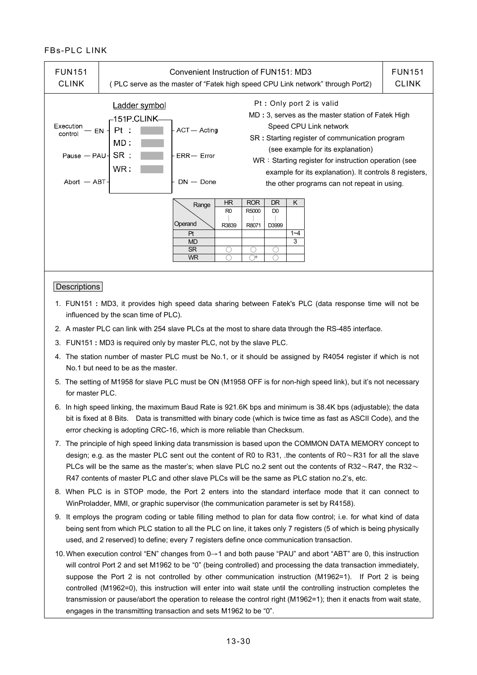| <b>FUN151</b><br><b>CLINK</b>                           | Convenient Instruction of FUN151: MD3<br>(PLC serve as the master of "Fatek high speed CPU Link network" through Port2) |                                                               |                               |                                         |                               |                    | <b>FUN151</b><br><b>CLINK</b>                                                                                                                                                                                                                                                                                                                                   |  |
|---------------------------------------------------------|-------------------------------------------------------------------------------------------------------------------------|---------------------------------------------------------------|-------------------------------|-----------------------------------------|-------------------------------|--------------------|-----------------------------------------------------------------------------------------------------------------------------------------------------------------------------------------------------------------------------------------------------------------------------------------------------------------------------------------------------------------|--|
| Execution<br>control<br>Pause $-$ PAU-<br>Abort $-$ ABT | Ladder symbol<br>–151P.CLINK-<br>Pt<br>EN<br>$MD$ :<br>SR :<br>WR :                                                     | ACT - Acting<br>$ERR - Error$<br>$DN - Done$                  |                               |                                         |                               |                    | Pt: Only port 2 is valid<br>MD: 3, serves as the master station of Fatek High<br>Speed CPU Link network<br>SR: Starting register of communication program<br>(see example for its explanation)<br>WR: Starting register for instruction operation (see<br>example for its explanation). It controls 8 registers,<br>the other programs can not repeat in using. |  |
|                                                         |                                                                                                                         | Range<br>Operand<br>Pt<br><b>MD</b><br><b>SR</b><br><b>WR</b> | HR<br>R <sub>0</sub><br>R3839 | <b>ROR</b><br>R5000<br>R8071<br>∩<br>↷∗ | DR<br>D <sub>0</sub><br>D3999 | K.<br>$1 - 4$<br>3 |                                                                                                                                                                                                                                                                                                                                                                 |  |

#### **Descriptions**

- 1. FUN151 **:** MD3, it provides high speed data sharing between Fatek's PLC (data response time will not be influenced by the scan time of PLC).
- 2. A master PLC can link with 254 slave PLCs at the most to share data through the RS-485 interface.
- 3. FUN151 **:** MD3 is required only by master PLC, not by the slave PLC.
- 4. The station number of master PLC must be No.1, or it should be assigned by R4054 register if which is not No.1 but need to be as the master.
- 5. The setting of M1958 for slave PLC must be ON (M1958 OFF is for non-high speed link), but it's not necessary for master PLC.
- 6. In high speed linking, the maximum Baud Rate is 921.6K bps and minimum is 38.4K bps (adjustable); the data bit is fixed at 8 Bits. Data is transmitted with binary code (which is twice time as fast as ASCII Code), and the error checking is adopting CRC-16, which is more reliable than Checksum.
- 7. The principle of high speed linking data transmission is based upon the COMMON DATA MEMORY concept to design; e.g. as the master PLC sent out the content of R0 to R31, .the contents of R0~R31 for all the slave PLCs will be the same as the master's; when slave PLC no.2 sent out the contents of R32 $\sim$ R47, the R32 $\sim$ R47 contents of master PLC and other slave PLCs will be the same as PLC station no.2's, etc.
- 8. When PLC is in STOP mode, the Port 2 enters into the standard interface mode that it can connect to WinProladder, MMI, or graphic supervisor (the communication parameter is set by R4158).
- 9. It employs the program coding or table filling method to plan for data flow control; i.e. for what kind of data being sent from which PLC station to all the PLC on line, it takes only 7 registers (5 of which is being physically used, and 2 reserved) to define; every 7 registers define once communication transaction.
- 10. When execution control "EN" changes from 0→1 and both pause "PAU" and abort "ABT" are 0, this instruction will control Port 2 and set M1962 to be "0" (being controlled) and processing the data transaction immediately, suppose the Port 2 is not controlled by other communication instruction (M1962=1). If Port 2 is being controlled (M1962=0), this instruction will enter into wait state until the controlling instruction completes the transmission or pause/abort the operation to release the control right (M1962=1); then it enacts from wait state, engages in the transmitting transaction and sets M1962 to be "0".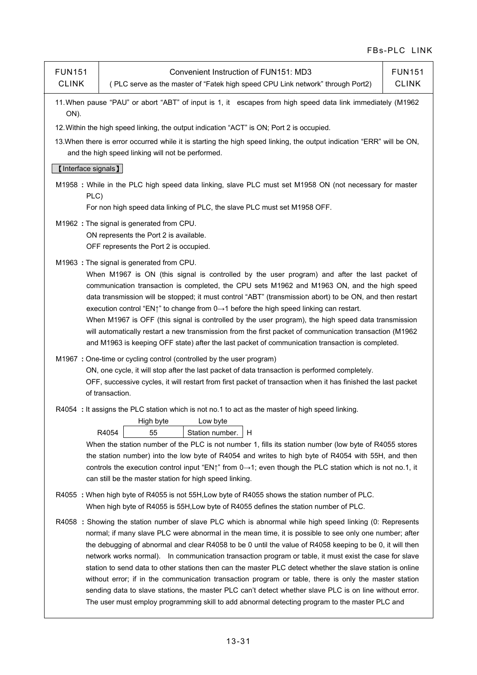| <b>FUN151</b><br><b>CLINK</b> | Convenient Instruction of FUN151: MD3<br>(PLC serve as the master of "Fatek high speed CPU Link network" through Port2)                                                                                                                                                                                                                                                                                                                                                                                                                                                                                                                                                                                                                                                                                                                                                      | <b>FUN151</b><br><b>CLINK</b> |  |  |  |  |
|-------------------------------|------------------------------------------------------------------------------------------------------------------------------------------------------------------------------------------------------------------------------------------------------------------------------------------------------------------------------------------------------------------------------------------------------------------------------------------------------------------------------------------------------------------------------------------------------------------------------------------------------------------------------------------------------------------------------------------------------------------------------------------------------------------------------------------------------------------------------------------------------------------------------|-------------------------------|--|--|--|--|
| ON).                          | 11. When pause "PAU" or abort "ABT" of input is 1, it escapes from high speed data link immediately (M1962                                                                                                                                                                                                                                                                                                                                                                                                                                                                                                                                                                                                                                                                                                                                                                   |                               |  |  |  |  |
|                               | 12. Within the high speed linking, the output indication "ACT" is ON; Port 2 is occupied.                                                                                                                                                                                                                                                                                                                                                                                                                                                                                                                                                                                                                                                                                                                                                                                    |                               |  |  |  |  |
|                               | 13. When there is error occurred while it is starting the high speed linking, the output indication "ERR" will be ON,<br>and the high speed linking will not be performed.                                                                                                                                                                                                                                                                                                                                                                                                                                                                                                                                                                                                                                                                                                   |                               |  |  |  |  |
| [Interface signals]           |                                                                                                                                                                                                                                                                                                                                                                                                                                                                                                                                                                                                                                                                                                                                                                                                                                                                              |                               |  |  |  |  |
| PLC)                          | M1958 : While in the PLC high speed data linking, slave PLC must set M1958 ON (not necessary for master                                                                                                                                                                                                                                                                                                                                                                                                                                                                                                                                                                                                                                                                                                                                                                      |                               |  |  |  |  |
|                               | For non high speed data linking of PLC, the slave PLC must set M1958 OFF.                                                                                                                                                                                                                                                                                                                                                                                                                                                                                                                                                                                                                                                                                                                                                                                                    |                               |  |  |  |  |
|                               | M1962 : The signal is generated from CPU.<br>ON represents the Port 2 is available.<br>OFF represents the Port 2 is occupied.                                                                                                                                                                                                                                                                                                                                                                                                                                                                                                                                                                                                                                                                                                                                                |                               |  |  |  |  |
|                               | M1963 : The signal is generated from CPU.<br>When M1967 is ON (this signal is controlled by the user program) and after the last packet of<br>communication transaction is completed, the CPU sets M1962 and M1963 ON, and the high speed<br>data transmission will be stopped; it must control "ABT" (transmission abort) to be ON, and then restart<br>execution control "EN1" to change from $0 \rightarrow 1$ before the high speed linking can restart.<br>When M1967 is OFF (this signal is controlled by the user program), the high speed data transmission<br>will automatically restart a new transmission from the first packet of communication transaction (M1962<br>and M1963 is keeping OFF state) after the last packet of communication transaction is completed.                                                                                           |                               |  |  |  |  |
|                               | M1967 : One-time or cycling control (controlled by the user program)<br>ON, one cycle, it will stop after the last packet of data transaction is performed completely.<br>OFF, successive cycles, it will restart from first packet of transaction when it has finished the last packet<br>of transaction.                                                                                                                                                                                                                                                                                                                                                                                                                                                                                                                                                                   |                               |  |  |  |  |
|                               | R4054 : It assigns the PLC station which is not no.1 to act as the master of high speed linking.<br>High byte<br>Low byte<br>R4054<br>55<br>Station number.<br>H<br>When the station number of the PLC is not number 1, fills its station number (low byte of R4055 stores<br>the station number) into the low byte of R4054 and writes to high byte of R4054 with 55H, and then<br>controls the execution control input "EN <sub>1</sub> " from $0 \rightarrow 1$ ; even though the PLC station which is not no.1, it<br>can still be the master station for high speed linking.                                                                                                                                                                                                                                                                                            |                               |  |  |  |  |
|                               | R4055 : When high byte of R4055 is not 55H, Low byte of R4055 shows the station number of PLC.<br>When high byte of R4055 is 55H, Low byte of R4055 defines the station number of PLC.                                                                                                                                                                                                                                                                                                                                                                                                                                                                                                                                                                                                                                                                                       |                               |  |  |  |  |
|                               | R4058 : Showing the station number of slave PLC which is abnormal while high speed linking (0: Represents<br>normal; if many slave PLC were abnormal in the mean time, it is possible to see only one number; after<br>the debugging of abnormal and clear R4058 to be 0 until the value of R4058 keeping to be 0, it will then<br>network works normal). In communication transaction program or table, it must exist the case for slave<br>station to send data to other stations then can the master PLC detect whether the slave station is online<br>without error; if in the communication transaction program or table, there is only the master station<br>sending data to slave stations, the master PLC can't detect whether slave PLC is on line without error.<br>The user must employ programming skill to add abnormal detecting program to the master PLC and |                               |  |  |  |  |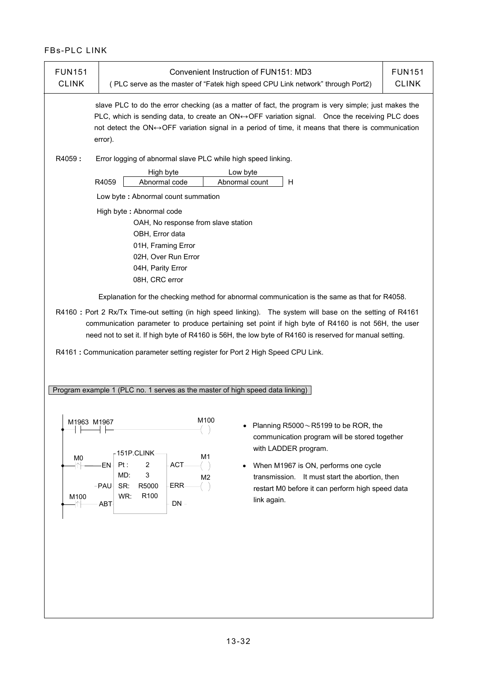| <b>FUN151</b><br><b>CLINK</b>                                                  | Convenient Instruction of FUN151: MD3<br>(PLC serve as the master of "Fatek high speed CPU Link network" through Port2)                                                                                                                                                                                                                                                                                                                                                                                                                                                                                                                                                                                                                                                     | <b>FUN151</b><br><b>CLINK</b> |  |  |  |
|--------------------------------------------------------------------------------|-----------------------------------------------------------------------------------------------------------------------------------------------------------------------------------------------------------------------------------------------------------------------------------------------------------------------------------------------------------------------------------------------------------------------------------------------------------------------------------------------------------------------------------------------------------------------------------------------------------------------------------------------------------------------------------------------------------------------------------------------------------------------------|-------------------------------|--|--|--|
| R4059:                                                                         | slave PLC to do the error checking (as a matter of fact, the program is very simple; just makes the<br>PLC, which is sending data, to create an ON $\leftrightarrow$ OFF variation signal. Once the receiving PLC does<br>not detect the ON $\leftrightarrow$ OFF variation signal in a period of time, it means that there is communication<br>error).<br>Error logging of abnormal slave PLC while high speed linking.                                                                                                                                                                                                                                                                                                                                                    |                               |  |  |  |
|                                                                                | High byte<br>Low byte<br>R4059<br>H<br>Abnormal code<br>Abnormal count<br>Low byte: Abnormal count summation                                                                                                                                                                                                                                                                                                                                                                                                                                                                                                                                                                                                                                                                |                               |  |  |  |
|                                                                                | High byte: Abnormal code<br>OAH, No response from slave station<br>OBH, Error data<br>01H, Framing Error<br>02H, Over Run Error<br>04H, Parity Error<br>08H, CRC error<br>Explanation for the checking method for abnormal communication is the same as that for R4058.<br>R4160 : Port 2 Rx/Tx Time-out setting (in high speed linking). The system will base on the setting of R4161<br>communication parameter to produce pertaining set point if high byte of R4160 is not 56H, the user<br>need not to set it. If high byte of R4160 is 56H, the low byte of R4160 is reserved for manual setting.<br>R4161: Communication parameter setting register for Port 2 High Speed CPU Link.<br>Program example 1 (PLC no. 1 serves as the master of high speed data linking) |                               |  |  |  |
| M1963 M1967<br>M <sub>0</sub><br>$\left\vert \uparrow\right\vert$<br>M100<br>╢ | M100<br>Planning R5000~R5199 to be ROR, the<br>communication program will be stored together<br>with LADDER program.<br>151P.CLINK-<br>M <sub>1</sub><br>$\overline{\mathbf{c}}$<br>·EN-<br>Pt:<br>ACT-<br>When M1967 is ON, performs one cycle<br>$\bullet$<br>3<br>MD.<br>transmission. It must start the abortion, then<br>M <sub>2</sub><br>R5000<br>$-PAU$<br>SR:<br>ERR-<br>restart M0 before it can perform high speed data<br>WR.<br>R100<br>link again.<br>$DN -$<br>ABT-                                                                                                                                                                                                                                                                                          |                               |  |  |  |
|                                                                                |                                                                                                                                                                                                                                                                                                                                                                                                                                                                                                                                                                                                                                                                                                                                                                             |                               |  |  |  |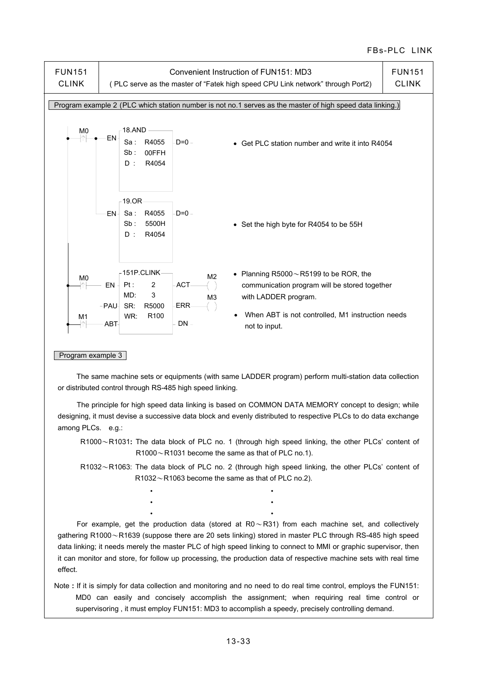

#### Program example 3

 The same machine sets or equipments (with same LADDER program) perform multi-station data collection or distributed control through RS-485 high speed linking.

 The principle for high speed data linking is based on COMMON DATA MEMORY concept to design; while designing, it must devise a successive data block and evenly distributed to respective PLCs to do data exchange among PLCs. e.g.:

 R1000~R1031**:** The data block of PLC no. 1 (through high speed linking, the other PLCs' content of  $R1000 \sim R1031$  become the same as that of PLC no.1).

 R1032~R1063: The data block of PLC no. 2 (through high speed linking, the other PLCs' content of  $R1032 \sim R1063$  become the same as that of PLC no.2).

For example, get the production data (stored at  $R0 \sim R31$ ) from each machine set, and collectively gathering R1000~R1639 (suppose there are 20 sets linking) stored in master PLC through RS-485 high speed data linking; it needs merely the master PLC of high speed linking to connect to MMI or graphic supervisor, then it can monitor and store, for follow up processing, the production data of respective machine sets with real time effect.

• • • • • •

Note **:** If it is simply for data collection and monitoring and no need to do real time control, employs the FUN151: MD0 can easily and concisely accomplish the assignment; when requiring real time control or supervisoring , it must employ FUN151: MD3 to accomplish a speedy, precisely controlling demand.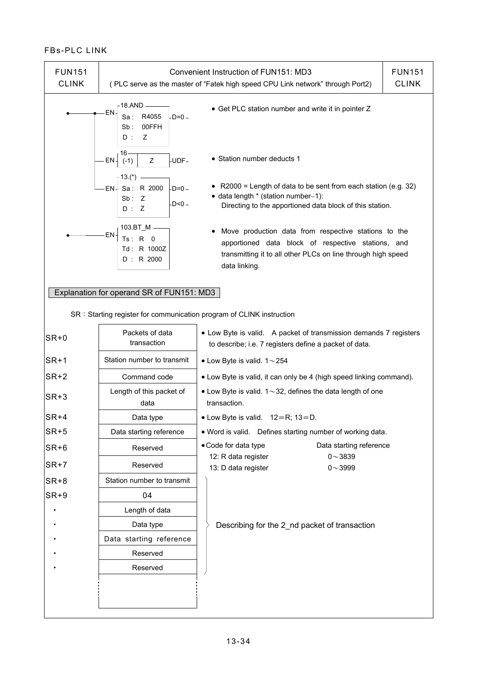| <b>FUN151</b><br><b>CLINK</b> |                                                                       | Convenient Instruction of FUN151: MD3<br>(PLC serve as the master of "Fatek high speed CPU Link network" through Port2)                                                                     | <b>FUN151</b><br><b>CLINK</b> |
|-------------------------------|-----------------------------------------------------------------------|---------------------------------------------------------------------------------------------------------------------------------------------------------------------------------------------|-------------------------------|
|                               | 18.AND -<br>EN<br>$-D=0-$<br>R4055<br>Sa :<br>00FFH<br>Sb:<br>D:<br>Z | • Get PLC station number and write it in pointer Z                                                                                                                                          |                               |
|                               | 16۰<br>Z<br>-UDF-<br>EN-<br>$(-1)$                                    | • Station number deducts 1                                                                                                                                                                  |                               |
|                               | -13.(*)<br>Sa: R 2000<br>-D=0 -<br>·EN-<br>Sb: Z<br>-D<0 -<br>D:Z     | • R2000 = Length of data to be sent from each station (e.g. 32)<br>• data length * (station number-1):<br>Directing to the apportioned data block of this station.                          |                               |
|                               | $103.BT$ M -<br>EN<br>Ts: R 0<br>Td: R 1000Z<br>D: R 2000             | Move production data from respective stations to the<br>apportioned data block of respective stations, and<br>transmitting it to all other PLCs on line through high speed<br>data linking. |                               |
|                               | Explanation for operand SR of FUN151: MD3                             |                                                                                                                                                                                             |                               |
|                               | SR: Starting register for communication program of CLINK instruction  |                                                                                                                                                                                             |                               |
| $SR+0$                        | Packets of data<br>transaction                                        | • Low Byte is valid. A packet of transmission demands 7 registers<br>to describe; i.e. 7 registers define a packet of data.                                                                 |                               |
| $SR+1$                        | Station number to transmit                                            | • Low Byte is valid. $1 \sim 254$                                                                                                                                                           |                               |
| $SR+2$                        | Command code                                                          | • Low Byte is valid, it can only be 4 (high speed linking command).                                                                                                                         |                               |
| $SR+3$                        | Length of this packet of<br>data                                      | • Low Byte is valid. $1 \sim 32$ , defines the data length of one<br>transaction.                                                                                                           |                               |
| $ SR+4 $                      | Data type                                                             | • Low Byte is valid. $12=R$ ; $13=D$ .                                                                                                                                                      |                               |
| $SR+5$                        | Data starting reference                                               | . Word is valid. Defines starting number of working data.                                                                                                                                   |                               |
| $SR+6$                        | Reserved                                                              | • Code for data type<br>Data starting reference                                                                                                                                             |                               |
| $SR+7$                        | Reserved                                                              | 12: R data register<br>$0 - 3839$<br>13: D data register<br>$0 - 3999$                                                                                                                      |                               |
| $SR+8$                        | Station number to transmit                                            |                                                                                                                                                                                             |                               |
| $SR+9$                        | 04                                                                    |                                                                                                                                                                                             |                               |
|                               | Length of data                                                        |                                                                                                                                                                                             |                               |
|                               | Data type                                                             | Describing for the 2 nd packet of transaction                                                                                                                                               |                               |
|                               | Data starting reference                                               |                                                                                                                                                                                             |                               |
|                               | Reserved                                                              |                                                                                                                                                                                             |                               |
|                               | Reserved                                                              |                                                                                                                                                                                             |                               |
|                               |                                                                       |                                                                                                                                                                                             |                               |
|                               |                                                                       |                                                                                                                                                                                             |                               |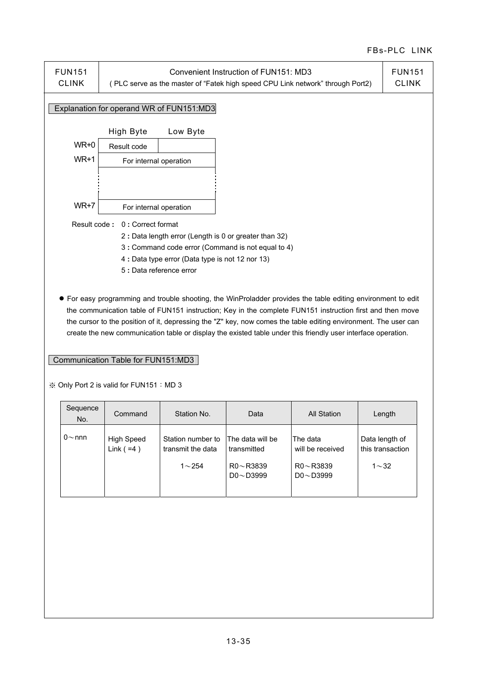

 ● For easy programming and trouble shooting, the WinProladder provides the table editing environment to edit the communication table of FUN151 instruction; Key in the complete FUN151 instruction first and then move the cursor to the position of it, depressing the "Z" key, now comes the table editing environment. The user can create the new communication table or display the existed table under this friendly user interface operation.

#### Communication Table for FUN151:MD3

※ Only Port 2 is valid for FUN151:MD 3

| Sequence<br>No. | Command                    | Station No.                                         | Data                                                                  | All Station                                                        | Length                                            |
|-----------------|----------------------------|-----------------------------------------------------|-----------------------------------------------------------------------|--------------------------------------------------------------------|---------------------------------------------------|
| $0{\sim}$ nnn   | High Speed<br>Link $( =4)$ | Station number to<br>transmit the data<br>$1 - 254$ | The data will be<br>transmitted<br>$R0 \sim R3839$<br>$DO \sim D3999$ | The data<br>will be received<br>$R0 \sim R3839$<br>$DO \sim D3999$ | Data length of<br>this transaction<br>$1{\sim}32$ |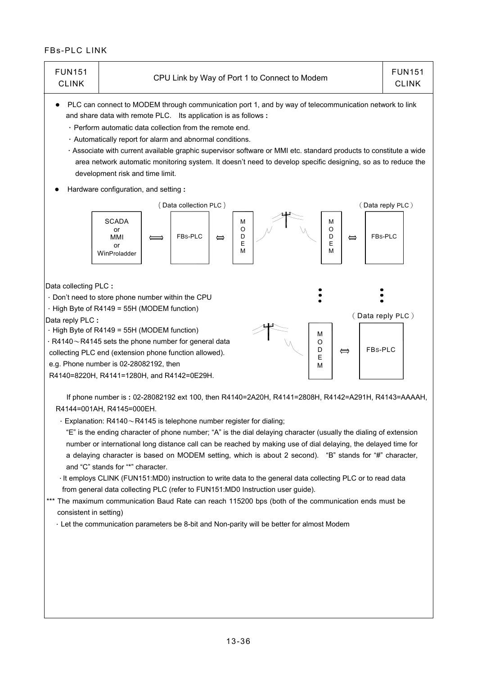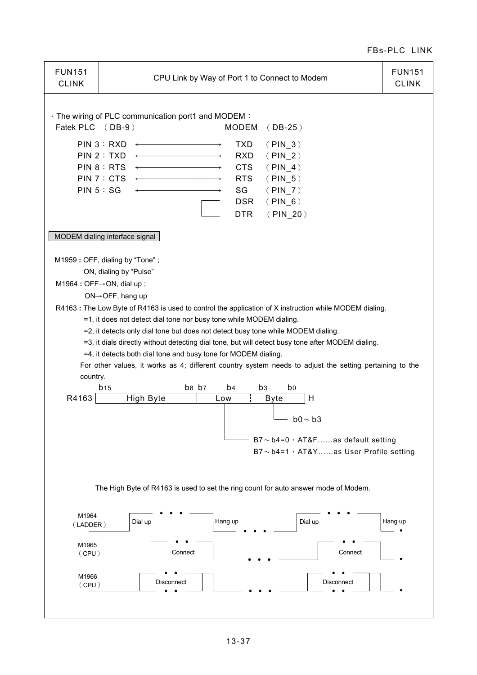| <b>FUN151</b><br><b>CLINK</b> | CPU Link by Way of Port 1 to Connect to Modem                                                                                                                                                                                                                                                                                                                                                                                                                                                                                                                                                                                                                                                                                                                                                                                                                                                      | <b>FUN151</b><br><b>CLINK</b> |
|-------------------------------|----------------------------------------------------------------------------------------------------------------------------------------------------------------------------------------------------------------------------------------------------------------------------------------------------------------------------------------------------------------------------------------------------------------------------------------------------------------------------------------------------------------------------------------------------------------------------------------------------------------------------------------------------------------------------------------------------------------------------------------------------------------------------------------------------------------------------------------------------------------------------------------------------|-------------------------------|
| Fatek PLC (DB-9)              | · The wiring of PLC communication port1 and MODEM:<br><b>MODEM</b><br>$(DB-25)$                                                                                                                                                                                                                                                                                                                                                                                                                                                                                                                                                                                                                                                                                                                                                                                                                    |                               |
|                               | PIN 3 : RXD<br><b>TXD</b><br>$(PIN_3)$<br>PIN 2 : TXD<br>$\overline{\phantom{a}}$<br><b>RXD</b><br>( PIN 2)<br>PIN 8 : RTS<br><b>CTS</b><br>( PIN 4)<br>PIN 7 : $CTS \leftarrow$<br><b>RTS</b><br>$(PIN_5)$<br>PIN 5 : SG<br>SG<br>$(PIN_7)$<br><b>DSR</b><br>$(PIN_6)$<br><b>DTR</b><br>$(PIN_20)$                                                                                                                                                                                                                                                                                                                                                                                                                                                                                                                                                                                                |                               |
|                               | MODEM dialing interface signal                                                                                                                                                                                                                                                                                                                                                                                                                                                                                                                                                                                                                                                                                                                                                                                                                                                                     |                               |
| country.<br>R4163             | M1959: OFF, dialing by "Tone";<br>ON, dialing by "Pulse"<br>M1964 : OFF→ON, dial up ;<br>$ON \rightarrow$ OFF, hang up<br>R4163 : The Low Byte of R4163 is used to control the application of X instruction while MODEM dialing.<br>=1, it does not detect dial tone nor busy tone while MODEM dialing.<br>=2, it detects only dial tone but does not detect busy tone while MODEM dialing.<br>=3, it dials directly without detecting dial tone, but will detect busy tone after MODEM dialing.<br>=4, it detects both dial tone and busy tone for MODEM dialing.<br>For other values, it works as 4; different country system needs to adjust the setting pertaining to the<br>b8 b7<br>b <sub>4</sub><br>b <sub>3</sub><br>b0<br>b <sub>15</sub><br>High Byte<br>÷<br>H<br>Low<br><b>Byte</b><br>$b0\sim b3$<br>$B7 \sim b4=0$ , AT&Fas default setting<br>B7~b4=1, AT&Yas User Profile setting |                               |
|                               | The High Byte of R4163 is used to set the ring count for auto answer mode of Modem.                                                                                                                                                                                                                                                                                                                                                                                                                                                                                                                                                                                                                                                                                                                                                                                                                |                               |
| M1964<br>(LADDER)             | Dial up<br>Dial up<br>Hang up                                                                                                                                                                                                                                                                                                                                                                                                                                                                                                                                                                                                                                                                                                                                                                                                                                                                      | Hang up                       |
| M1965<br>(CPU)                | Connect<br>Connect                                                                                                                                                                                                                                                                                                                                                                                                                                                                                                                                                                                                                                                                                                                                                                                                                                                                                 |                               |
| M1966<br>(CPU)                | Disconnect<br>Disconnect                                                                                                                                                                                                                                                                                                                                                                                                                                                                                                                                                                                                                                                                                                                                                                                                                                                                           |                               |
|                               |                                                                                                                                                                                                                                                                                                                                                                                                                                                                                                                                                                                                                                                                                                                                                                                                                                                                                                    |                               |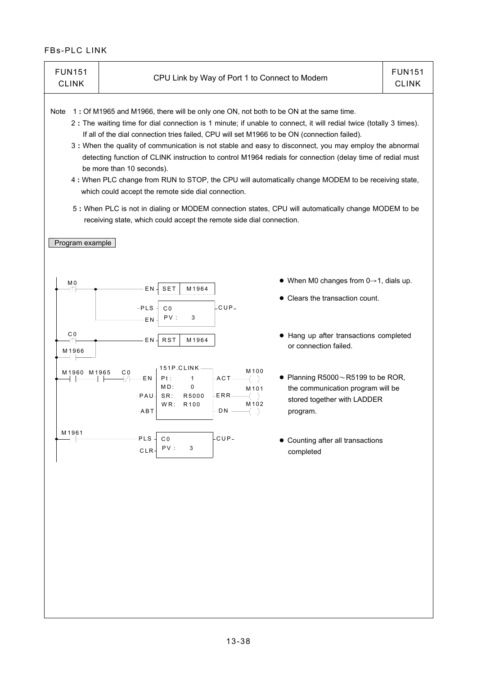| <b>FUN151</b><br><b>CLINK</b>                                                                                                                                                                                                                                                                                                                                                                                                                                                                                                                                                                                                                                                                                                                                                                                                                                                                                             | CPU Link by Way of Port 1 to Connect to Modem                                                                                                                                          |                                                                                                                                                                   | <b>FUN151</b><br><b>CLINK</b> |  |  |  |
|---------------------------------------------------------------------------------------------------------------------------------------------------------------------------------------------------------------------------------------------------------------------------------------------------------------------------------------------------------------------------------------------------------------------------------------------------------------------------------------------------------------------------------------------------------------------------------------------------------------------------------------------------------------------------------------------------------------------------------------------------------------------------------------------------------------------------------------------------------------------------------------------------------------------------|----------------------------------------------------------------------------------------------------------------------------------------------------------------------------------------|-------------------------------------------------------------------------------------------------------------------------------------------------------------------|-------------------------------|--|--|--|
| 1: Of M1965 and M1966, there will be only one ON, not both to be ON at the same time.<br>Note<br>2 : The waiting time for dial connection is 1 minute; if unable to connect, it will redial twice (totally 3 times).<br>If all of the dial connection tries failed, CPU will set M1966 to be ON (connection failed).<br>3 : When the quality of communication is not stable and easy to disconnect, you may employ the abnormal<br>detecting function of CLINK instruction to control M1964 redials for connection (delay time of redial must<br>be more than 10 seconds).<br>4 : When PLC change from RUN to STOP, the CPU will automatically change MODEM to be receiving state,<br>which could accept the remote side dial connection.<br>5 : When PLC is not in dialing or MODEM connection states, CPU will automatically change MODEM to be<br>receiving state, which could accept the remote side dial connection. |                                                                                                                                                                                        |                                                                                                                                                                   |                               |  |  |  |
| Program example                                                                                                                                                                                                                                                                                                                                                                                                                                                                                                                                                                                                                                                                                                                                                                                                                                                                                                           |                                                                                                                                                                                        |                                                                                                                                                                   |                               |  |  |  |
| M0<br>ተገ<br>C 0<br>↑<br>M1966                                                                                                                                                                                                                                                                                                                                                                                                                                                                                                                                                                                                                                                                                                                                                                                                                                                                                             | ΕN<br>SET<br>M1964<br>$CUP-$<br>$-PLS$<br>C <sub>0</sub><br>PV:<br>3<br>EN<br><b>RST</b><br>ΕN<br>M1964<br>$151P.CLINK-$                                                               | $\bullet$ When M0 changes from 0 $\rightarrow$ 1, dials up.<br>• Clears the transaction count.<br>• Hang up after transactions completed<br>or connection failed. |                               |  |  |  |
| M1965<br>M1960                                                                                                                                                                                                                                                                                                                                                                                                                                                                                                                                                                                                                                                                                                                                                                                                                                                                                                            | M100<br>C <sub>0</sub><br>$-ACT -$<br>EN<br>Pt:<br>1<br>$\pmb{0}$<br>MD:<br>M <sub>101</sub><br>$-PAU -$<br>SR:<br>R5000<br>-ERR-<br>R <sub>100</sub><br>M 102<br>WR:<br>$-ABT$<br>DN. | • Planning R5000 $\sim$ R5199 to be ROR,<br>the communication program will be<br>stored together with LADDER<br>program.                                          |                               |  |  |  |
| M1961                                                                                                                                                                                                                                                                                                                                                                                                                                                                                                                                                                                                                                                                                                                                                                                                                                                                                                                     | CUP-<br><b>PLS</b><br>C <sub>0</sub><br>PV:<br>3<br>$-CLR-$                                                                                                                            | • Counting after all transactions<br>completed                                                                                                                    |                               |  |  |  |
|                                                                                                                                                                                                                                                                                                                                                                                                                                                                                                                                                                                                                                                                                                                                                                                                                                                                                                                           |                                                                                                                                                                                        |                                                                                                                                                                   |                               |  |  |  |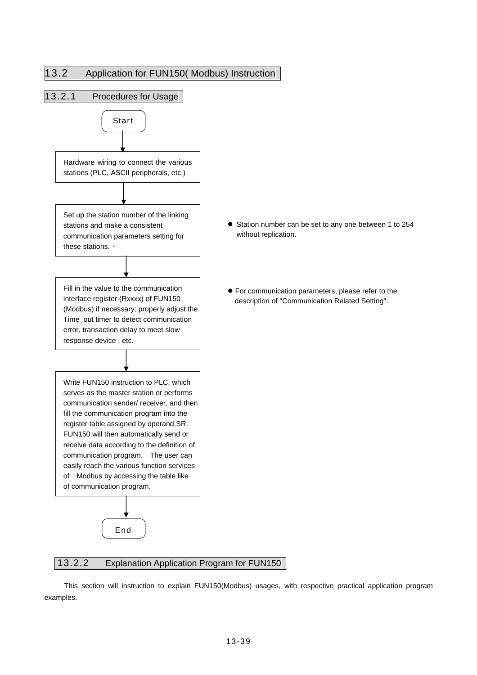

#### 13.2.2 Explanation Application Program for FUN150

This section will instruction to explain FUN150(Modbus) usages, with respective practical application program examples.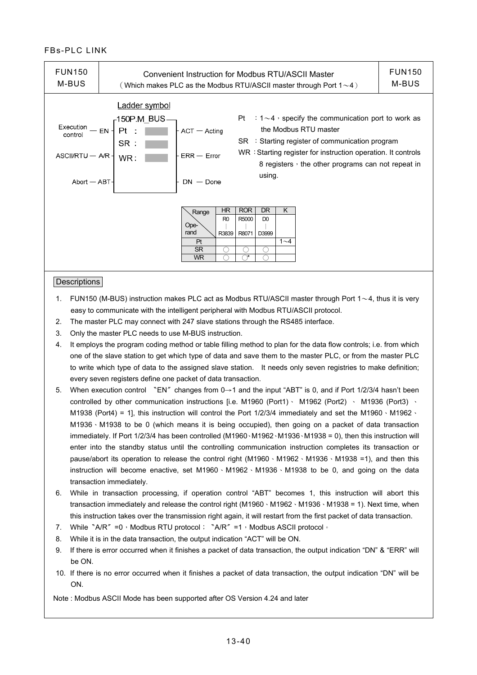| <b>FUN150</b><br>M-BUS                                                  | Convenient Instruction for Modbus RTU/ASCII Master<br>(Which makes PLC as the Modbus RTU/ASCII master through Port $1 \sim 4$ )                                                                                                                                                                                                                                                      | <b>FUN150</b><br>M-BUS |
|-------------------------------------------------------------------------|--------------------------------------------------------------------------------------------------------------------------------------------------------------------------------------------------------------------------------------------------------------------------------------------------------------------------------------------------------------------------------------|------------------------|
| Execution $-$ EN -<br>control<br>$ASCII/RTU - A/R -$<br>$Abort - ABT -$ | Ladder symbol<br>: $1\sim$ 4, specify the communication port to work as<br>Pt<br>-150P.M BUS.<br>the Modbus RTU master<br>Pt<br>- ACT — Acting<br>$SR \div$ Starting register of communication program<br>SR :<br>WR: Starting register for instruction operation. It controls<br>$ERR - Error$<br>WR:<br>8 registers, the other programs can not repeat in<br>using.<br>$DN - Done$ |                        |
|                                                                         | <b>ROR</b><br><b>HR</b><br><b>DR</b><br>K<br>Range<br>R5000<br>R <sub>0</sub><br>D <sub>0</sub><br>Ope-<br>rand<br>R3839<br>R8071<br>D3999<br>Pt<br>$1 - 4$<br><b>SR</b><br><b>WR</b>                                                                                                                                                                                                |                        |
| <b>Descriptions</b>                                                     |                                                                                                                                                                                                                                                                                                                                                                                      |                        |

# 1. FUN150 (M-BUS) instruction makes PLC act as Modbus RTU/ASCII master through Port  $1~1~4$ , thus it is very

- easy to communicate with the intelligent peripheral with Modbus RTU/ASCII protocol.
- 2. The master PLC may connect with 247 slave stations through the RS485 interface.
- 3. Only the master PLC needs to use M-BUS instruction.
- 4. It employs the program coding method or table filling method to plan for the data flow controls; i.e. from which one of the slave station to get which type of data and save them to the master PLC, or from the master PLC to write which type of data to the assigned slave station. It needs only seven registries to make definition; every seven registers define one packet of data transaction.
- 5. When execution control 〝EN〞changes from 0→1 and the input "ABT" is 0, and if Port 1/2/3/4 hasn't been controlled by other communication instructions [i.e. M1960 (Port1) M1962 (Port2) 、 M1936 (Port3) 、 M1938 (Port4) = 1], this instruction will control the Port  $1/2/3/4$  immediately and set the M1960  $\cdot$  M1962  $\cdot$ M1936、M1938 to be 0 (which means it is being occupied), then going on a packet of data transaction immediately. If Port 1/2/3/4 has been controlled (M1960、M1962、M1936、M1938 = 0), then this instruction will enter into the standby status until the controlling communication instruction completes its transaction or pause/abort its operation to release the control right (M1960、M1962、M1936、M1938 =1), and then this instruction will become enactive, set M1960、M1962、M1936、M1938 to be 0, and going on the data transaction immediately.
- 6. While in transaction processing, if operation control "ABT" becomes 1, this instruction will abort this transaction immediately and release the control right (M1960  $\cdot$  M1962  $\cdot$  M1936  $\cdot$  M1938 = 1). Next time, when this instruction takes over the transmission right again, it will restart from the first packet of data transaction.
- 7. While 〝A/R〞=0, Modbus RTU protocol; 〝A/R〞=1, Modbus ASCII protocol。
- 8. While it is in the data transaction, the output indication "ACT" will be ON.
- 9. If there is error occurred when it finishes a packet of data transaction, the output indication "DN" & "ERR" will be ON.
- 10. If there is no error occurred when it finishes a packet of data transaction, the output indication "DN" will be ON.

Note : Modbus ASCII Mode has been supported after OS Version 4.24 and later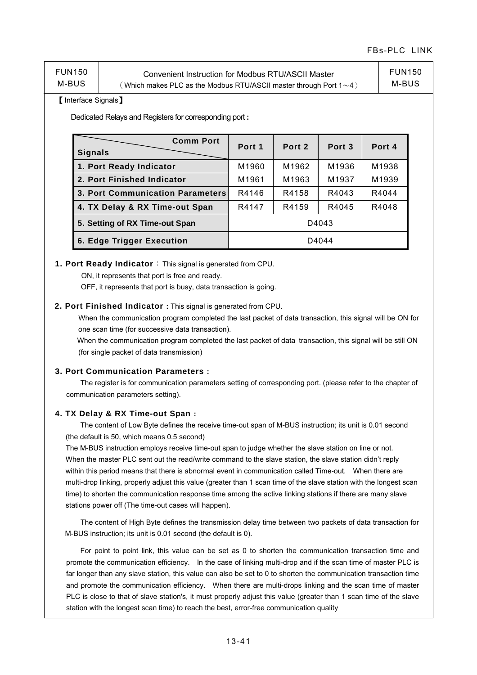| <b>FUN150</b> | Convenient Instruction for Modbus RTU/ASCII Master                        | <b>FUN150</b> |
|---------------|---------------------------------------------------------------------------|---------------|
| M-BUS         | (Which makes PLC as the Modbus RTU/ASCII master through Port 1 $\sim$ 4 ) | M-BUS         |

#### 【Interface Signals】

Dedicated Relays and Registers for corresponding port **:**

| <b>Comm Port</b><br><b>Signals</b>      | Port 1 | Port 2 | Port <sub>3</sub> | Port 4 |
|-----------------------------------------|--------|--------|-------------------|--------|
| 1. Port Ready Indicator                 | M1960  | M1962  | M1936             | M1938  |
| 2. Port Finished Indicator              | M1961  | M1963  | M1937             | M1939  |
| 3. Port Communication Parameters        | R4146  | R4158  | R4043             | R4044  |
| 4. TX Delay & RX Time-out Span          | R4147  | R4159  | R4045             | R4048  |
| 5. Setting of RX Time-out Span<br>D4043 |        |        |                   |        |
| 6. Edge Trigger Execution               |        |        | D4044             |        |

#### **1. Port Ready Indicator**:This signal is generated from CPU.

ON, it represents that port is free and ready.

OFF, it represents that port is busy, data transaction is going.

#### **2. Port Finished Indicator :** This signal is generated from CPU.

When the communication program completed the last packet of data transaction, this signal will be ON for one scan time (for successive data transaction).

 When the communication program completed the last packet of data transaction, this signal will be still ON (for single packet of data transmission)

#### **3. Port Communication Parameters :**

 The register is for communication parameters setting of corresponding port. (please refer to the chapter of communication parameters setting).

#### **4. TX Delay & RX Time-out Span :**

 The content of Low Byte defines the receive time-out span of M-BUS instruction; its unit is 0.01 second (the default is 50, which means 0.5 second)

The M-BUS instruction employs receive time-out span to judge whether the slave station on line or not. When the master PLC sent out the read/write command to the slave station, the slave station didn't reply within this period means that there is abnormal event in communication called Time-out. When there are multi-drop linking, properly adjust this value (greater than 1 scan time of the slave station with the longest scan time) to shorten the communication response time among the active linking stations if there are many slave stations power off (The time-out cases will happen).

 The content of High Byte defines the transmission delay time between two packets of data transaction for M-BUS instruction; its unit is 0.01 second (the default is 0).

For point to point link, this value can be set as 0 to shorten the communication transaction time and promote the communication efficiency. In the case of linking multi-drop and if the scan time of master PLC is far longer than any slave station, this value can also be set to 0 to shorten the communication transaction time and promote the communication efficiency. When there are multi-drops linking and the scan time of master PLC is close to that of slave station's, it must properly adjust this value (greater than 1 scan time of the slave station with the longest scan time) to reach the best, error-free communication quality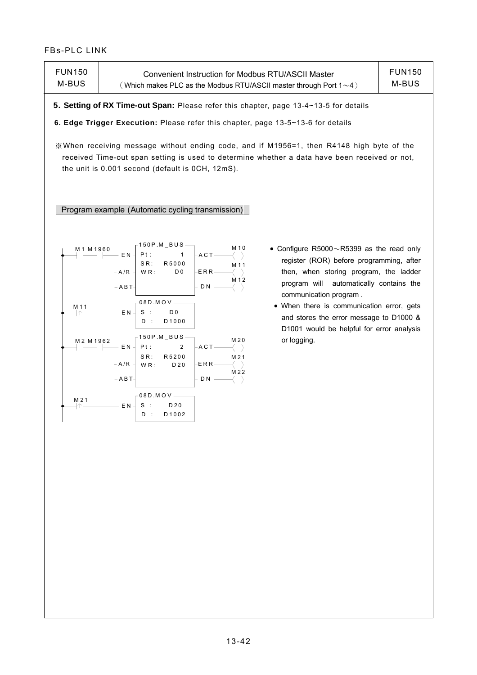| <b>FUN150</b><br>M-BUS                          | Convenient Instruction for Modbus RTU/ASCII Master<br>(Which makes PLC as the Modbus RTU/ASCII master through Port $1 \sim 4$ )                                                                                                                                                                                                                                                                                                                                                                                                                                                                                                                                                                                                                                                                                                                           | <b>FUN150</b><br>M-BUS |
|-------------------------------------------------|-----------------------------------------------------------------------------------------------------------------------------------------------------------------------------------------------------------------------------------------------------------------------------------------------------------------------------------------------------------------------------------------------------------------------------------------------------------------------------------------------------------------------------------------------------------------------------------------------------------------------------------------------------------------------------------------------------------------------------------------------------------------------------------------------------------------------------------------------------------|------------------------|
|                                                 | 5. Setting of RX Time-out Span: Please refer this chapter, page 13-4~13-5 for details                                                                                                                                                                                                                                                                                                                                                                                                                                                                                                                                                                                                                                                                                                                                                                     |                        |
|                                                 | 6. Edge Trigger Execution: Please refer this chapter, page 13-5~13-6 for details                                                                                                                                                                                                                                                                                                                                                                                                                                                                                                                                                                                                                                                                                                                                                                          |                        |
|                                                 | ※When receiving message without ending code, and if M1956=1, then R4148 high byte of the<br>received Time-out span setting is used to determine whether a data have been received or not,<br>the unit is 0.001 second (default is 0CH, 12mS).<br>Program example (Automatic cycling transmission)                                                                                                                                                                                                                                                                                                                                                                                                                                                                                                                                                         |                        |
|                                                 |                                                                                                                                                                                                                                                                                                                                                                                                                                                                                                                                                                                                                                                                                                                                                                                                                                                           |                        |
| M1 M1960<br>M 11<br>ł↑<br>M2 M1962<br>M 21<br>카 | $-150P.M\_BUS$ -<br>M 10<br>• Configure $R5000 \sim R5399$ as the read only<br>Pt:<br>– EN<br>$\mathbf{1}$<br>- A C T –<br>register (ROR) before programming, after<br>$S R$ :<br>R5000<br>M 11<br>then, when storing program, the ladder<br>WR:<br>D <sub>0</sub><br>$- A/R$<br>-ERR-<br>M 12<br>automatically contains the<br>program will<br>$-$ A B T-<br>D <sub>N</sub><br>communication program.<br>$-08D$ .MOV-<br>• When there is communication error, gets<br>E N<br>$S$ :<br>D <sub>0</sub><br>and stores the error message to D1000 &<br>$D$ :<br>D1000<br>D1001 would be helpful for error analysis<br>-150P.M_BUS-<br>M 20<br>or logging.<br>Pt:<br>$\overline{c}$<br>– E N<br>ACT-<br>R5200<br>SR:<br>M 21<br>-ERR-<br>$- A/R$<br>WR:<br>D 20<br>M 22<br>$-$ A B T-<br>D N<br>$08D$ .MOV-<br>EN<br>S<br>D 20<br>$\cdot$ :<br>D1002<br>$D$ : |                        |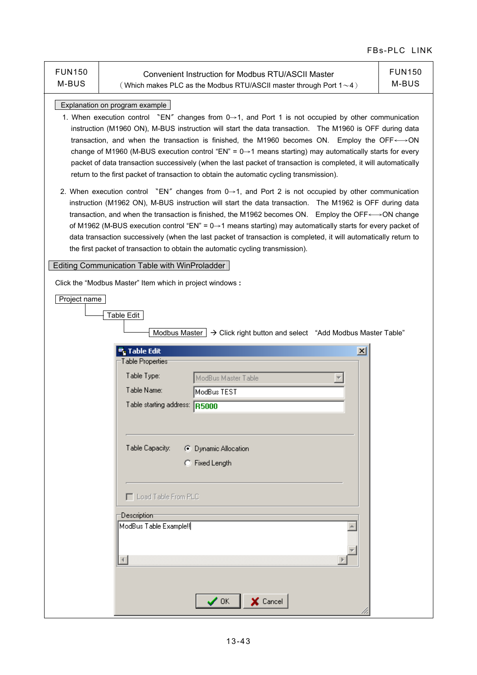|                        |                                                                                                                                                                                                                                                                                                                                                                                                                                                                                                                                                                                                                                                                                                      | FBS-FLU LIN            |
|------------------------|------------------------------------------------------------------------------------------------------------------------------------------------------------------------------------------------------------------------------------------------------------------------------------------------------------------------------------------------------------------------------------------------------------------------------------------------------------------------------------------------------------------------------------------------------------------------------------------------------------------------------------------------------------------------------------------------------|------------------------|
| <b>FUN150</b><br>M-BUS | <b>Convenient Instruction for Modbus RTU/ASCII Master</b><br>(Which makes PLC as the Modbus RTU/ASCII master through Port $1 \sim 4$ )                                                                                                                                                                                                                                                                                                                                                                                                                                                                                                                                                               | <b>FUN150</b><br>M-BUS |
|                        | Explanation on program example<br>1. When execution control "EN" changes from $0\rightarrow 1$ , and Port 1 is not occupied by other communication<br>instruction (M1960 ON), M-BUS instruction will start the data transaction. The M1960 is OFF during data<br>transaction, and when the transaction is finished, the M1960 becomes ON. Employ the OFF←→ON<br>change of M1960 (M-BUS execution control "EN" = $0 \rightarrow 1$ means starting) may automatically starts for every<br>packet of data transaction successively (when the last packet of transaction is completed, it will automatically<br>return to the first packet of transaction to obtain the automatic cycling transmission). |                        |
|                        | 2. When execution control "EN" changes from $0\rightarrow 1$ , and Port 2 is not occupied by other communication<br>instruction (M1962 ON), M-BUS instruction will start the data transaction. The M1962 is OFF during data<br>transaction, and when the transaction is finished, the M1962 becomes ON. Employ the OFF←→ON change<br>of M1962 (M-BUS execution control "EN" = $0 \rightarrow 1$ means starting) may automatically starts for every packet of<br>data transaction successively (when the last packet of transaction is completed, it will automatically return to<br>the first packet of transaction to obtain the automatic cycling transmission).                                   |                        |
|                        | Editing Communication Table with WinProladder                                                                                                                                                                                                                                                                                                                                                                                                                                                                                                                                                                                                                                                        |                        |
|                        | Click the "Modbus Master" Item which in project windows:                                                                                                                                                                                                                                                                                                                                                                                                                                                                                                                                                                                                                                             |                        |
| Project name           | Table Edit<br>Modbus Master $\rightarrow$ Click right button and select "Add Modbus Master Table"                                                                                                                                                                                                                                                                                                                                                                                                                                                                                                                                                                                                    |                        |
|                        | <mark>■</mark> Table Edit<br>$\vert x \vert$                                                                                                                                                                                                                                                                                                                                                                                                                                                                                                                                                                                                                                                         |                        |
|                        | Table Properties                                                                                                                                                                                                                                                                                                                                                                                                                                                                                                                                                                                                                                                                                     |                        |
|                        | Table Type:<br>ModBus Master Table                                                                                                                                                                                                                                                                                                                                                                                                                                                                                                                                                                                                                                                                   |                        |
|                        | Table Name:<br>ModBus TEST                                                                                                                                                                                                                                                                                                                                                                                                                                                                                                                                                                                                                                                                           |                        |
|                        | Table starting address: R5000                                                                                                                                                                                                                                                                                                                                                                                                                                                                                                                                                                                                                                                                        |                        |
|                        |                                                                                                                                                                                                                                                                                                                                                                                                                                                                                                                                                                                                                                                                                                      |                        |
|                        |                                                                                                                                                                                                                                                                                                                                                                                                                                                                                                                                                                                                                                                                                                      |                        |
|                        |                                                                                                                                                                                                                                                                                                                                                                                                                                                                                                                                                                                                                                                                                                      |                        |
|                        | Table Capacity:<br>C Dynamic Allocation                                                                                                                                                                                                                                                                                                                                                                                                                                                                                                                                                                                                                                                              |                        |
|                        | C Fixed Length                                                                                                                                                                                                                                                                                                                                                                                                                                                                                                                                                                                                                                                                                       |                        |
|                        |                                                                                                                                                                                                                                                                                                                                                                                                                                                                                                                                                                                                                                                                                                      |                        |
|                        | Load Table From PLC                                                                                                                                                                                                                                                                                                                                                                                                                                                                                                                                                                                                                                                                                  |                        |
|                        |                                                                                                                                                                                                                                                                                                                                                                                                                                                                                                                                                                                                                                                                                                      |                        |
|                        | Description                                                                                                                                                                                                                                                                                                                                                                                                                                                                                                                                                                                                                                                                                          |                        |
|                        | ModBus Table Example!!                                                                                                                                                                                                                                                                                                                                                                                                                                                                                                                                                                                                                                                                               |                        |
|                        |                                                                                                                                                                                                                                                                                                                                                                                                                                                                                                                                                                                                                                                                                                      |                        |
|                        |                                                                                                                                                                                                                                                                                                                                                                                                                                                                                                                                                                                                                                                                                                      |                        |
|                        |                                                                                                                                                                                                                                                                                                                                                                                                                                                                                                                                                                                                                                                                                                      |                        |
|                        |                                                                                                                                                                                                                                                                                                                                                                                                                                                                                                                                                                                                                                                                                                      |                        |
|                        | X Cancel<br>$\boldsymbol{\mathcal{S}}$ ok                                                                                                                                                                                                                                                                                                                                                                                                                                                                                                                                                                                                                                                            |                        |
|                        |                                                                                                                                                                                                                                                                                                                                                                                                                                                                                                                                                                                                                                                                                                      |                        |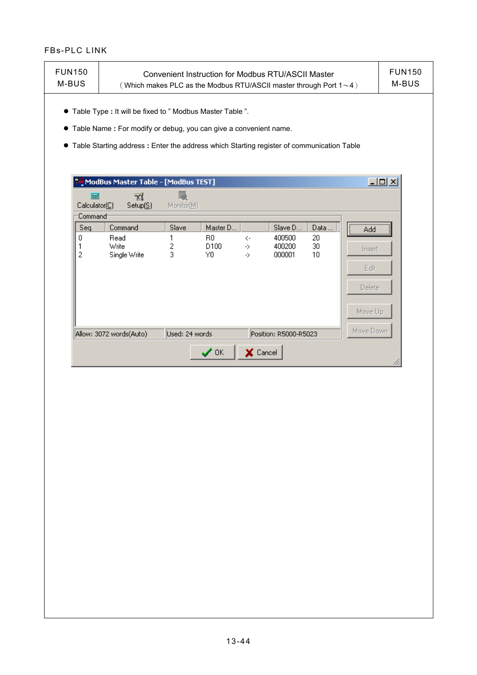| <b>FUN150</b><br>M-BUS | <b>FUN150</b><br>Convenient Instruction for Modbus RTU/ASCII Master<br>M-BUS<br>(Which makes PLC as the Modbus RTU/ASCII master through Port $1 \sim 4$ )                                                                         |                 |                              |                       |                            |                |                                     |                   |
|------------------------|-----------------------------------------------------------------------------------------------------------------------------------------------------------------------------------------------------------------------------------|-----------------|------------------------------|-----------------------|----------------------------|----------------|-------------------------------------|-------------------|
|                        | • Table Type : It will be fixed to " Modbus Master Table ".<br>• Table Name : For modify or debug, you can give a convenient name.<br>• Table Starting address : Enter the address which Starting register of communication Table |                 |                              |                       |                            |                |                                     |                   |
|                        | ModBus Master Table - [ModBus TEST]                                                                                                                                                                                               |                 |                              |                       |                            |                |                                     | $\Box$ D $\times$ |
| 扁<br>Calculator(C)     | 71<br>Setup(S)                                                                                                                                                                                                                    | 圝<br>Monitor(M) |                              |                       |                            |                |                                     |                   |
| Command                |                                                                                                                                                                                                                                   |                 |                              |                       |                            |                |                                     |                   |
| Seq.                   | Command                                                                                                                                                                                                                           | Slave           | Master D                     |                       | Slave D                    | Data           | Add                                 |                   |
| 0<br>1<br>2            | Read<br>Write<br>Single Write                                                                                                                                                                                                     | 1<br>2<br>3     | R <sub>0</sub><br>D100<br>Y0 | $\zeta$ -<br>-><br>-> | 400500<br>400200<br>000001 | 20<br>30<br>10 | Insert<br>Edit<br>Delete<br>Move Up |                   |
|                        | Allow: 3072 words(Auto)                                                                                                                                                                                                           | Used: 24 words  |                              |                       | Position: R5000-R5023      |                | Move Down                           |                   |
|                        |                                                                                                                                                                                                                                   |                 | $\checkmark$ ok              | X Cancel              |                            |                |                                     |                   |
|                        |                                                                                                                                                                                                                                   |                 |                              |                       |                            |                |                                     |                   |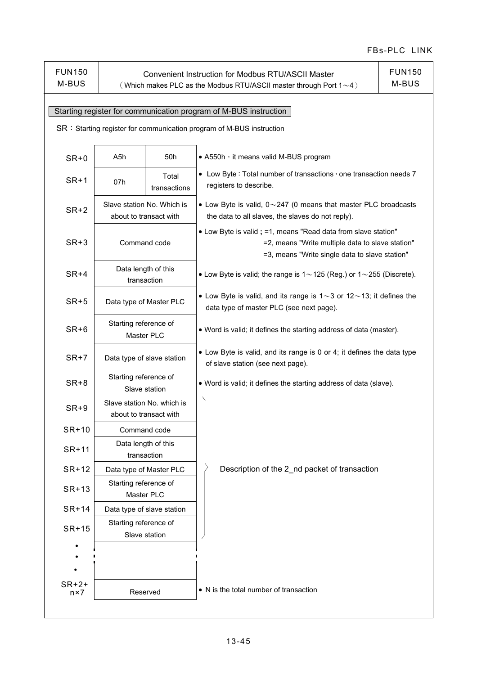| <b>FUN150</b><br>M-BUS                                           | <b>FUN150</b><br><b>Convenient Instruction for Modbus RTU/ASCII Master</b><br>M-BUS<br>(Which makes PLC as the Modbus RTU/ASCII master through Port $1 \sim 4$ ) |                                    |                                                                                                                                                                     |  |  |  |  |
|------------------------------------------------------------------|------------------------------------------------------------------------------------------------------------------------------------------------------------------|------------------------------------|---------------------------------------------------------------------------------------------------------------------------------------------------------------------|--|--|--|--|
|                                                                  |                                                                                                                                                                  |                                    |                                                                                                                                                                     |  |  |  |  |
| Starting register for communication program of M-BUS instruction |                                                                                                                                                                  |                                    |                                                                                                                                                                     |  |  |  |  |
|                                                                  |                                                                                                                                                                  |                                    | SR: Starting register for communication program of M-BUS instruction                                                                                                |  |  |  |  |
|                                                                  |                                                                                                                                                                  |                                    |                                                                                                                                                                     |  |  |  |  |
| $SR + 0$                                                         | A5h                                                                                                                                                              | 50h                                | • A550h, it means valid M-BUS program                                                                                                                               |  |  |  |  |
| $SR+1$                                                           | 07h                                                                                                                                                              | Total<br>transactions              | • Low Byte: Total number of transactions $\cdot$ one transaction needs 7<br>registers to describe.                                                                  |  |  |  |  |
| $SR+2$                                                           | Slave station No. Which is<br>about to transact with                                                                                                             |                                    | • Low Byte is valid, $0 \sim 247$ (0 means that master PLC broadcasts<br>the data to all slaves, the slaves do not reply).                                          |  |  |  |  |
| $SR+3$                                                           | Command code                                                                                                                                                     |                                    | • Low Byte is valid; =1, means "Read data from slave station"<br>=2, means "Write multiple data to slave station"<br>=3, means "Write single data to slave station" |  |  |  |  |
| $SR+4$                                                           | Data length of this                                                                                                                                              | transaction                        | • Low Byte is valid; the range is $1 \sim 125$ (Reg.) or $1 \sim 255$ (Discrete).                                                                                   |  |  |  |  |
| $SR+5$                                                           |                                                                                                                                                                  | Data type of Master PLC            | • Low Byte is valid, and its range is $1 \sim 3$ or $12 \sim 13$ ; it defines the<br>data type of master PLC (see next page).                                       |  |  |  |  |
| $SR+6$                                                           | Starting reference of<br>Master PLC                                                                                                                              |                                    | . Word is valid; it defines the starting address of data (master).                                                                                                  |  |  |  |  |
| $SR+7$                                                           | Data type of slave station                                                                                                                                       |                                    | • Low Byte is valid, and its range is 0 or 4; it defines the data type<br>of slave station (see next page).                                                         |  |  |  |  |
| $SR+8$                                                           | Starting reference of<br>Slave station                                                                                                                           |                                    | . Word is valid; it defines the starting address of data (slave).                                                                                                   |  |  |  |  |
| $SR+9$                                                           | Slave station No. which is<br>about to transact with                                                                                                             |                                    |                                                                                                                                                                     |  |  |  |  |
| SR+10                                                            |                                                                                                                                                                  | Command code                       |                                                                                                                                                                     |  |  |  |  |
| SR+11                                                            |                                                                                                                                                                  | Data length of this<br>transaction |                                                                                                                                                                     |  |  |  |  |
| SR+12                                                            |                                                                                                                                                                  | Data type of Master PLC            | Description of the 2_nd packet of transaction                                                                                                                       |  |  |  |  |
| SR+13                                                            | Starting reference of<br>Master PLC                                                                                                                              |                                    |                                                                                                                                                                     |  |  |  |  |
| $SR+14$                                                          |                                                                                                                                                                  | Data type of slave station         |                                                                                                                                                                     |  |  |  |  |
| $SR+15$                                                          | Starting reference of                                                                                                                                            |                                    |                                                                                                                                                                     |  |  |  |  |
|                                                                  |                                                                                                                                                                  | Slave station                      |                                                                                                                                                                     |  |  |  |  |
|                                                                  |                                                                                                                                                                  |                                    |                                                                                                                                                                     |  |  |  |  |
|                                                                  |                                                                                                                                                                  |                                    |                                                                                                                                                                     |  |  |  |  |
| $SR+2+$<br>$n \times 7$                                          | Reserved                                                                                                                                                         |                                    | • N is the total number of transaction                                                                                                                              |  |  |  |  |
|                                                                  |                                                                                                                                                                  |                                    |                                                                                                                                                                     |  |  |  |  |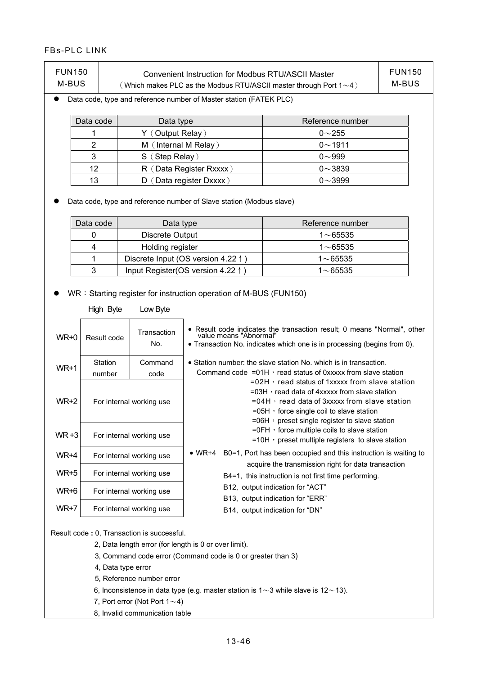| <b>FUN150</b><br>M-BUS     | Convenient Instruction for Modbus RTU/ASCII Master<br>Which makes PLC as the Modbus RTU/ASCII master through Port $1\sim4$ ) |                  |  |  |  |
|----------------------------|------------------------------------------------------------------------------------------------------------------------------|------------------|--|--|--|
|                            | Data code, type and reference number of Master station (FATEK PLC)                                                           |                  |  |  |  |
| Data code                  | Data type                                                                                                                    | Reference number |  |  |  |
|                            | Y (Output Relay)                                                                                                             | $0 - 255$        |  |  |  |
| 2                          | M (Internal M Relay)                                                                                                         | $0 \sim 1911$    |  |  |  |
| 3                          | S (Step Relay)                                                                                                               | $0 - 999$        |  |  |  |
| 12                         | (Data Register Rxxxx)<br>R (                                                                                                 | $0 - 3839$       |  |  |  |
| 13<br>Data register Dxxxx) |                                                                                                                              | $0 - 3999$       |  |  |  |

 $\bullet$  Data code, type and reference number of Slave station (Modbus slave)

| Data code | Data type                          | Reference number |
|-----------|------------------------------------|------------------|
|           | Discrete Output                    | $1 \sim 65535$   |
|           | Holding register                   | $1 \sim 65535$   |
|           | Discrete Input (OS version 4.22 1) | $1 \sim 65535$   |
| 3         | Input Register(OS version 4.22 ↑)  | $1{\sim}65535$   |

• WR: Starting register for instruction operation of M-BUS (FUN150)

|        | High Byte                                                                        | Low Byte                 |                                                                                                                                                                                                                                                                     |  |  |  |  |
|--------|----------------------------------------------------------------------------------|--------------------------|---------------------------------------------------------------------------------------------------------------------------------------------------------------------------------------------------------------------------------------------------------------------|--|--|--|--|
| WR+0   | Result code                                                                      | Transaction<br>No.       | • Result code indicates the transaction result; 0 means "Normal", other<br>value means "Abnormal"<br>• Transaction No. indicates which one is in processing (begins from 0).                                                                                        |  |  |  |  |
| $WR+1$ | Station<br>number                                                                | Command<br>code          | • Station number: the slave station No. which is in transaction.<br>Command code $=01H$ , read status of 0xxxxx from slave station                                                                                                                                  |  |  |  |  |
| $WR+2$ |                                                                                  | For internal working use | $= 02H$ , read status of 1xxxxx from slave station<br>$=$ 03H, read data of 4xxxxx from slave station<br>$= 04H$ , read data of 3xxxxx from slave station<br>$=$ 05H $\cdot$ force single coil to slave station<br>$=$ 06H, preset single register to slave station |  |  |  |  |
| WR +3  |                                                                                  | For internal working use | $=$ OFH, force multiple coils to slave station<br>$=$ 10H $\cdot$ preset multiple registers to slave station                                                                                                                                                        |  |  |  |  |
| WR+4   | For internal working use<br>For internal working use<br>For internal working use |                          | B0=1, Port has been occupied and this instruction is waiting to<br>$\bullet$ WR+4                                                                                                                                                                                   |  |  |  |  |
| $WR+5$ |                                                                                  |                          | acquire the transmission right for data transaction<br>B4=1, this instruction is not first time performing.                                                                                                                                                         |  |  |  |  |
| WR+6   |                                                                                  |                          | B12, output indication for "ACT"                                                                                                                                                                                                                                    |  |  |  |  |
| WR+7   |                                                                                  | For internal working use | B13, output indication for "ERR"<br>B14, output indication for "DN"                                                                                                                                                                                                 |  |  |  |  |

Result code **:** 0, Transaction is successful.

- 2, Data length error (for length is 0 or over limit).
- 3, Command code error (Command code is 0 or greater than 3)
- 4, Data type error
- 5, Reference number error
- 6, Inconsistence in data type (e.g. master station is  $1~3$  while slave is  $12~13$ ).
- 7, Port error (Not Port  $1 \sim 4$ )
- 8, Invalid communication table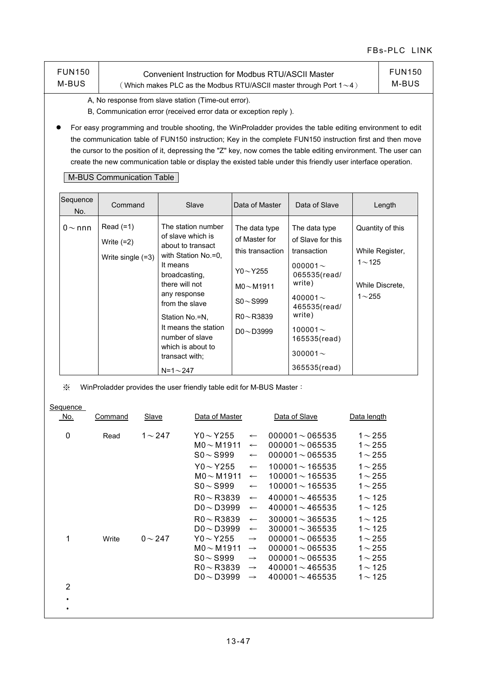| <b>FUN150</b> | Convenient Instruction for Modbus RTU/ASCII Master                        |
|---------------|---------------------------------------------------------------------------|
| M-BUS         | (Which makes PLC as the Modbus RTU/ASCII master through Port $1 \sim 4$ ) |

FUN150 M-BUS

A, No response from slave station (Time-out error).

B, Communication error (received error data or exception reply ).

● For easy programming and trouble shooting, the WinProladder provides the table editing environment to edit the communication table of FUN150 instruction; Key in the complete FUN150 instruction first and then move the cursor to the position of it, depressing the "Z" key, now comes the table editing environment. The user can create the new communication table or display the existed table under this friendly user interface operation.

#### M-BUS Communication Table

| Sequence<br>No. | Command                                          | Slave                                                                                                                                                                                                                                                                                        | Data of Master                                                                                                                                | Data of Slave                                                                                                                                                                                             | Length                                                                           |
|-----------------|--------------------------------------------------|----------------------------------------------------------------------------------------------------------------------------------------------------------------------------------------------------------------------------------------------------------------------------------------------|-----------------------------------------------------------------------------------------------------------------------------------------------|-----------------------------------------------------------------------------------------------------------------------------------------------------------------------------------------------------------|----------------------------------------------------------------------------------|
| $0 \sim$ nnn    | $Read (=1)$<br>Write $(=2)$<br>Write single (=3) | The station number<br>of slave which is<br>about to transact<br>with Station No.=0,<br>It means<br>broadcasting,<br>there will not<br>any response<br>from the slave<br>Station No.=N.<br>It means the station<br>number of slave<br>which is about to<br>transact with:<br>$N = 1 \sim 247$ | The data type<br>of Master for<br>this transaction<br>$Y0\sim$ Y255<br>$MO~\sim$ M1911<br>$S_0 \sim S_999$<br>$R0 - R3839$<br>$DO \sim D3999$ | The data type<br>of Slave for this<br>transaction<br>000001 $\sim$<br>065535(read/<br>write)<br>400001 $\sim$<br>465535(read/<br>write)<br>100001 $\sim$<br>165535(read)<br>300001 $\sim$<br>365535(read) | Quantity of this<br>While Register,<br>$1 - 125$<br>While Discrete,<br>$1 - 255$ |

※ WinProladder provides the user friendly table edit for M-BUS Master:

| Sequence<br>No. | Command | Slave        | Data of Master                                       |                                                  | Data of Slave                                                        | Data length                                  |
|-----------------|---------|--------------|------------------------------------------------------|--------------------------------------------------|----------------------------------------------------------------------|----------------------------------------------|
| $\mathbf{0}$    | Read    | $1 \sim 247$ | $Y0 \sim Y255$<br>$MO \sim M1911$<br>$SO \sim S999$  | $\longleftarrow$<br>$\leftarrow$<br>$\leftarrow$ | $000001 - 065535$<br>$000001 \sim 065535$<br>$000001 - 065535$       | $1 \sim 255$<br>$1 \sim 255$<br>$1 \sim 255$ |
|                 |         |              | $Y0 \sim Y255$<br>$MO \sim M1911$<br>$SO \sim$ S999  | $\leftarrow$<br>$\leftarrow$<br>$\longleftarrow$ | $100001 \sim 165535$<br>$100001 \sim 165535$<br>$100001 \sim 165535$ | $1 - 255$<br>$1 \sim 255$<br>$1 \sim 255$    |
|                 |         |              | $R0 \sim R3839$<br>$DO \sim D3999$                   | $\leftarrow$<br>$\longleftarrow$                 | $400001 \sim 465535$<br>$400001 \sim 465535$                         | $1 - 125$<br>$1 - 125$                       |
|                 |         |              | $R0 \sim R3839$<br>$DO \sim D3999$                   | $\longleftarrow$<br>$\leftarrow$                 | $300001 \sim 365535$<br>$300001 \sim 365535$                         | $1 - 125$<br>$1 - 125$                       |
| 1               | Write   | $0 \sim 247$ | $Y0 \sim Y255$<br>$MO \sim M1911$                    | $\rightarrow$<br>$\rightarrow$                   | $000001 \sim 065535$<br>$000001 \sim 065535$                         | $1 \sim 255$<br>$1 \sim 255$                 |
|                 |         |              | $SO \sim$ S999<br>$R0 \sim R3839$<br>$DO \sim D3999$ | $\rightarrow$<br>$\rightarrow$<br>$\rightarrow$  | $000001 - 065535$<br>$400001 \sim 465535$<br>$400001 \sim 465535$    | $1 \sim 255$<br>$1 - 125$<br>$1 - 125$       |
| 2               |         |              |                                                      |                                                  |                                                                      |                                              |
| ٠               |         |              |                                                      |                                                  |                                                                      |                                              |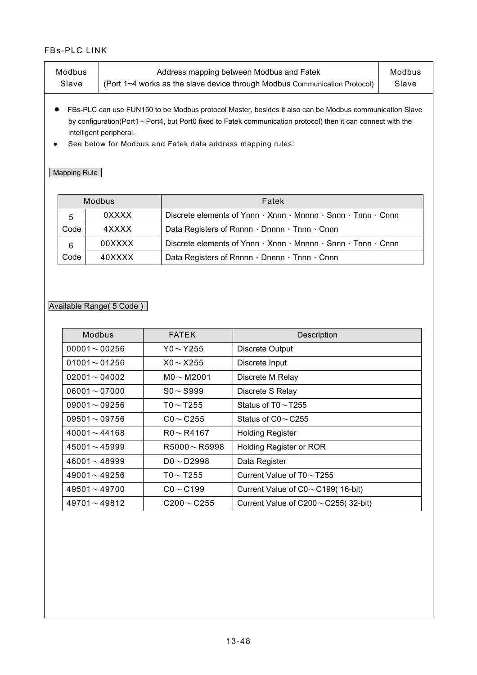| Modbus | Address mapping between Modbus and Fatek                                   | Modbus |
|--------|----------------------------------------------------------------------------|--------|
| Slave  | (Port 1~4 works as the slave device through Modbus Communication Protocol) | Slave  |

- FBs-PLC can use FUN150 to be Modbus protocol Master, besides it also can be Modbus communication Slave by configuration(Port1~Port4, but Port0 fixed to Fatek communication protocol) then it can connect with the intelligent peripheral.
- See below for Modbus and Fatek data address mapping rules:

## **Mapping Rule**

|      | Modbus | Fatek                                                                                       |  |
|------|--------|---------------------------------------------------------------------------------------------|--|
| 5    | 0XXXX  | Discrete elements of Ynnn $\cdot$ Xnnn $\cdot$ Mnnnn $\cdot$ Snnn $\cdot$ Tnnn $\cdot$ Cnnn |  |
| Code | 4XXXX  | Data Registers of Rnnnn · Dnnnn · Tnnn · Cnnn                                               |  |
| 6    | 00XXXX | Discrete elements of Ynnn $\cdot$ Xnnn $\cdot$ Mnnnn $\cdot$ Snnn $\cdot$ Tnnn $\cdot$ Cnnn |  |
| Code | 40XXXX | Data Registers of Rnnnn · Dnnnn · Tnnn · Cnnn                                               |  |

## Available Range( 5 Code )

| Modbus             | <b>FATEK</b>       | Description                                |
|--------------------|--------------------|--------------------------------------------|
| $00001 - 00256$    | $Y0 \sim Y255$     | <b>Discrete Output</b>                     |
| $01001 - 01256$    | $X0 \sim X255$     | Discrete Input                             |
| $02001 - 04002$    | $MO \sim M2001$    | Discrete M Relay                           |
| $06001 - 07000$    | $SO \sim$ S999     | Discrete S Relay                           |
| $09001 - 09256$    | T0 $\sim$ T255     | Status of $T0 \sim T255$                   |
| $09501 - 09756$    | $CO \sim C255$     | Status of $CO \sim C255$                   |
| $40001 - 44168$    | $R0 \sim R4167$    | <b>Holding Register</b>                    |
| $45001 \sim 45999$ | $R5000 \sim R5998$ | Holding Register or ROR                    |
| $46001 \sim 48999$ | $DO \sim D2998$    | Data Register                              |
| $49001 - 49256$    | T0 $\sim$ T255     | Current Value of $T0 \sim T255$            |
| $49501 \sim 49700$ | $CO \sim C199$     | Current Value of $CO \sim C199(16-bit)$    |
| $49701 \sim 49812$ | $C200 \sim C255$   | Current Value of $C200 \sim C255$ (32-bit) |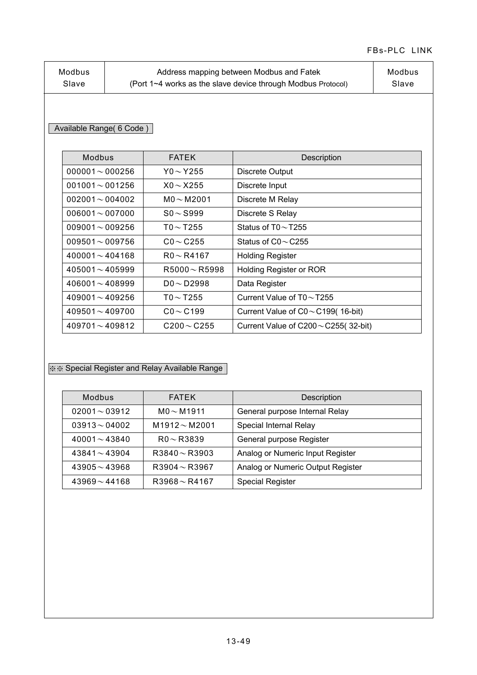| Address mapping between Modbus and Fatek<br>Modbus<br>Modbus<br>(Port 1~4 works as the slave device through Modbus Protocol)<br>Slave<br>Slave |
|------------------------------------------------------------------------------------------------------------------------------------------------|
|------------------------------------------------------------------------------------------------------------------------------------------------|

## Available Range( 6 Code )

| Modbus               | <b>FATEK</b>       | Description                                |
|----------------------|--------------------|--------------------------------------------|
| $000001 - 000256$    | Y0 $\sim$ Y255     | Discrete Output                            |
| $001001 \sim 001256$ | $X_0 \sim X255$    | Discrete Input                             |
| $002001 - 004002$    | $MO \sim M2001$    | Discrete M Relay                           |
| $006001 - 007000$    | $SO \sim$ S999     | Discrete S Relay                           |
| $009001 - 009256$    | TO $\sim$ T255     | Status of $T0 \sim T255$                   |
| $009501 \sim 009756$ | $CO \sim C255$     | Status of $CO \sim C255$                   |
| $400001 \sim 404168$ | $R0 \sim R4167$    | <b>Holding Register</b>                    |
| $405001 \sim 405999$ | $R5000 \sim R5998$ | Holding Register or ROR                    |
| $406001 \sim 408999$ | $DO \sim D2998$    | Data Register                              |
| $409001 \sim 409256$ | T0 $\sim$ T255     | Current Value of $T0 \sim T255$            |
| $409501 \sim 409700$ | $CO \sim C199$     | Current Value of $CO \sim C199(16-bit)$    |
| $409701 \sim 409812$ | $C200 \sim C255$   | Current Value of $C200 \sim C255$ (32-bit) |

## ※※ Special Register and Relay Available Range

| Modbus             | <b>FATEK</b>       | Description                       |
|--------------------|--------------------|-----------------------------------|
| $02001 - 03912$    | $MO \sim M1911$    | General purpose Internal Relay    |
| $03913 \sim 04002$ | $M1912 \sim M2001$ | Special Internal Relay            |
| $40001 \sim 43840$ | $R0 \sim R3839$    | General purpose Register          |
| $43841 \sim 43904$ | $R3840 \sim R3903$ | Analog or Numeric Input Register  |
| $43905 - 43968$    | $R3904 \sim R3967$ | Analog or Numeric Output Register |
| $43969 - 44168$    | $R3968 \sim R4167$ | <b>Special Register</b>           |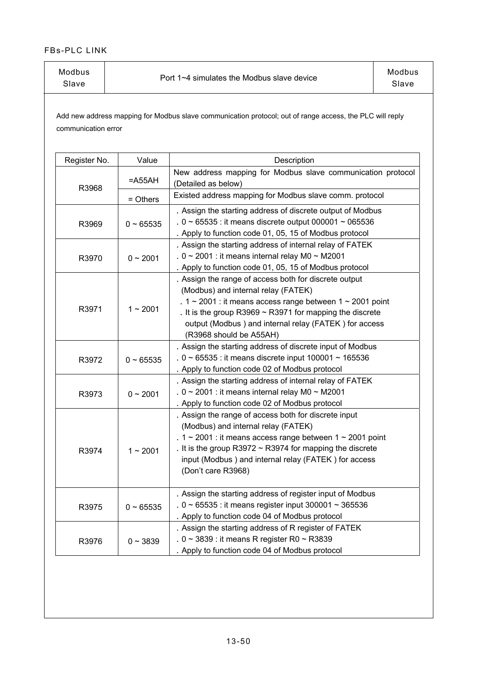| Modbus<br>Slave | Port 1~4 simulates the Modbus slave device | Modbus<br>Slave |
|-----------------|--------------------------------------------|-----------------|
|                 |                                            |                 |

Add new address mapping for Modbus slave communication protocol; out of range access, the PLC will reply communication error

| Register No. | Value       | Description                                                                                                                                                                                                                                                                                                              |
|--------------|-------------|--------------------------------------------------------------------------------------------------------------------------------------------------------------------------------------------------------------------------------------------------------------------------------------------------------------------------|
| R3968        | $=$ A55AH   | New address mapping for Modbus slave communication protocol<br>(Detailed as below)                                                                                                                                                                                                                                       |
|              | = Others    | Existed address mapping for Modbus slave comm. protocol                                                                                                                                                                                                                                                                  |
| R3969        | $0 - 65535$ | . Assign the starting address of discrete output of Modbus<br>. $0 \sim 65535$ : it means discrete output 000001 $\sim 065536$<br>. Apply to function code 01, 05, 15 of Modbus protocol                                                                                                                                 |
| R3970        | $0 - 2001$  | . Assign the starting address of internal relay of FATEK<br>. $0 \sim 2001$ : it means internal relay M0 $\sim$ M2001<br>. Apply to function code 01, 05, 15 of Modbus protocol                                                                                                                                          |
| R3971        | $1 - 2001$  | . Assign the range of access both for discrete output<br>(Modbus) and internal relay (FATEK)<br>. $1 \sim 2001$ : it means access range between $1 \sim 2001$ point<br>. It is the group R3969 $\sim$ R3971 for mapping the discrete<br>output (Modbus) and internal relay (FATEK) for access<br>(R3968 should be A55AH) |
| R3972        | $0 - 65535$ | . Assign the starting address of discrete input of Modbus<br>. $0 \sim 65535$ : it means discrete input 100001 ~ 165536<br>. Apply to function code 02 of Modbus protocol                                                                                                                                                |
| R3973        | $0 - 2001$  | . Assign the starting address of internal relay of FATEK<br>. $0 \sim 2001$ : it means internal relay M0 $\sim$ M2001<br>. Apply to function code 02 of Modbus protocol                                                                                                                                                  |
| R3974        | $1 - 2001$  | . Assign the range of access both for discrete input<br>(Modbus) and internal relay (FATEK)<br>. $1 \sim 2001$ : it means access range between $1 \sim 2001$ point<br>. It is the group R3972 $\sim$ R3974 for mapping the discrete<br>input (Modbus) and internal relay (FATEK) for access<br>(Don't care R3968)        |
| R3975        | $0 - 65535$ | . Assign the starting address of register input of Modbus<br>. $0 \sim 65535$ : it means register input 300001 ~ 365536<br>. Apply to function code 04 of Modbus protocol                                                                                                                                                |
| R3976        | $0 - 3839$  | . Assign the starting address of R register of FATEK<br>. $0 \sim 3839$ : it means R register R0 $\sim$ R3839<br>. Apply to function code 04 of Modbus protocol                                                                                                                                                          |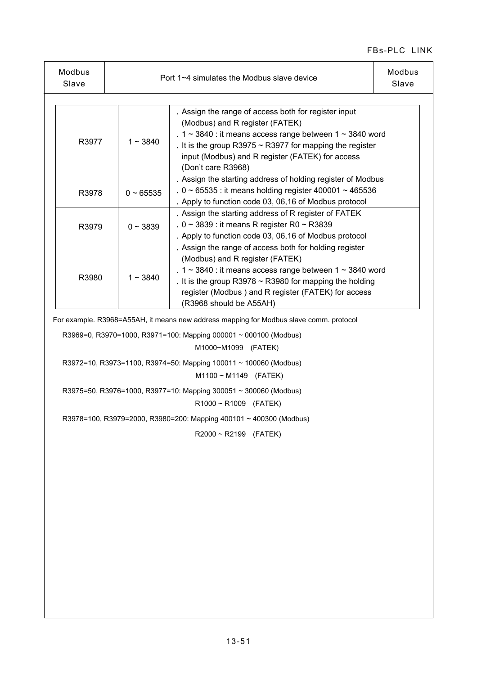| Modbus<br>Slave |               | Port 1~4 simulates the Modbus slave device                                                                                                                                                                                                                                                                        | Modbus<br>Slave |
|-----------------|---------------|-------------------------------------------------------------------------------------------------------------------------------------------------------------------------------------------------------------------------------------------------------------------------------------------------------------------|-----------------|
|                 |               |                                                                                                                                                                                                                                                                                                                   |                 |
| R3977           | $1 - 3840$    | . Assign the range of access both for register input<br>(Modbus) and R register (FATEK)<br>. $1 \sim 3840$ : it means access range between $1 \sim 3840$ word<br>. It is the group R3975 $\sim$ R3977 for mapping the register<br>input (Modbus) and R register (FATEK) for access<br>(Don't care R3968)          |                 |
| R3978           | $0 - 65535$   | . Assign the starting address of holding register of Modbus<br>. $0 \sim 65535$ : it means holding register 400001 ~ 465536<br>. Apply to function code 03, 06,16 of Modbus protocol                                                                                                                              |                 |
| R3979           | $0 \sim 3839$ | . Assign the starting address of R register of FATEK<br>. $0 \sim 3839$ : it means R register R0 $\sim$ R3839<br>. Apply to function code 03, 06,16 of Modbus protocol                                                                                                                                            |                 |
| R3980           | $1 \sim 3840$ | . Assign the range of access both for holding register<br>(Modbus) and R register (FATEK)<br>. $1 \sim 3840$ : it means access range between $1 \sim 3840$ word<br>. It is the group R3978 $\sim$ R3980 for mapping the holding<br>register (Modbus) and R register (FATEK) for access<br>(R3968 should be A55AH) |                 |

For example. R3968=A55AH, it means new address mapping for Modbus slave comm. protocol

R3969=0, R3970=1000, R3971=100: Mapping 000001 ~ 000100 (Modbus)

M1000~M1099 (FATEK)

R3972=10, R3973=1100, R3974=50: Mapping 100011 ~ 100060 (Modbus)

M1100 ~ M1149 (FATEK)

R3975=50, R3976=1000, R3977=10: Mapping 300051 ~ 300060 (Modbus)

R1000 ~ R1009 (FATEK)

R3978=100, R3979=2000, R3980=200: Mapping 400101 ~ 400300 (Modbus)

R2000 ~ R2199 (FATEK)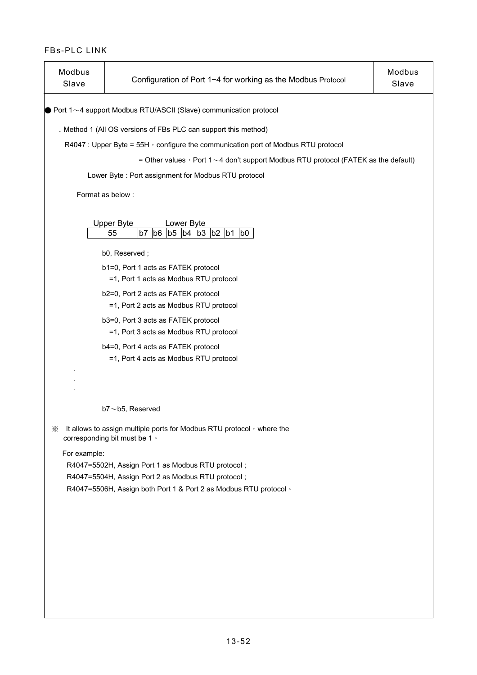| Modbus<br>Slave | Configuration of Port 1~4 for working as the Modbus Protocol                                                             | Modbus<br>Slave |
|-----------------|--------------------------------------------------------------------------------------------------------------------------|-----------------|
|                 | $\bullet$ Port 1 $\sim$ 4 support Modbus RTU/ASCII (Slave) communication protocol                                        |                 |
|                 | . Method 1 (All OS versions of FBs PLC can support this method)                                                          |                 |
|                 | R4047 : Upper Byte = 55H $\cdot$ configure the communication port of Modbus RTU protocol                                 |                 |
|                 | = Other values $\cdot$ Port 1 ~ 4 don't support Modbus RTU protocol (FATEK as the default)                               |                 |
|                 | Lower Byte: Port assignment for Modbus RTU protocol                                                                      |                 |
|                 | Format as below:                                                                                                         |                 |
|                 |                                                                                                                          |                 |
|                 | <b>Upper Byte</b><br>Lower Byte<br>b7<br>b6 b5 b4 b3<br>55<br>$b2 \mid b1$<br>b <sub>0</sub>                             |                 |
|                 | b0, Reserved;                                                                                                            |                 |
|                 | b1=0, Port 1 acts as FATEK protocol                                                                                      |                 |
|                 | =1, Port 1 acts as Modbus RTU protocol                                                                                   |                 |
|                 | b2=0, Port 2 acts as FATEK protocol                                                                                      |                 |
|                 | =1, Port 2 acts as Modbus RTU protocol                                                                                   |                 |
|                 | b3=0, Port 3 acts as FATEK protocol<br>=1, Port 3 acts as Modbus RTU protocol                                            |                 |
|                 | b4=0, Port 4 acts as FATEK protocol<br>=1, Port 4 acts as Modbus RTU protocol                                            |                 |
|                 |                                                                                                                          |                 |
|                 | $b7 \sim b5$ , Reserved                                                                                                  |                 |
| ⋇               | It allows to assign multiple ports for Modbus RTU protocol , where the<br>corresponding bit must be 1 ·                  |                 |
| For example:    |                                                                                                                          |                 |
|                 | R4047=5502H, Assign Port 1 as Modbus RTU protocol;                                                                       |                 |
|                 | R4047=5504H, Assign Port 2 as Modbus RTU protocol;<br>R4047=5506H, Assign both Port 1 & Port 2 as Modbus RTU protocol of |                 |
|                 |                                                                                                                          |                 |
|                 |                                                                                                                          |                 |
|                 |                                                                                                                          |                 |
|                 |                                                                                                                          |                 |
|                 |                                                                                                                          |                 |
|                 |                                                                                                                          |                 |
|                 |                                                                                                                          |                 |
|                 |                                                                                                                          |                 |